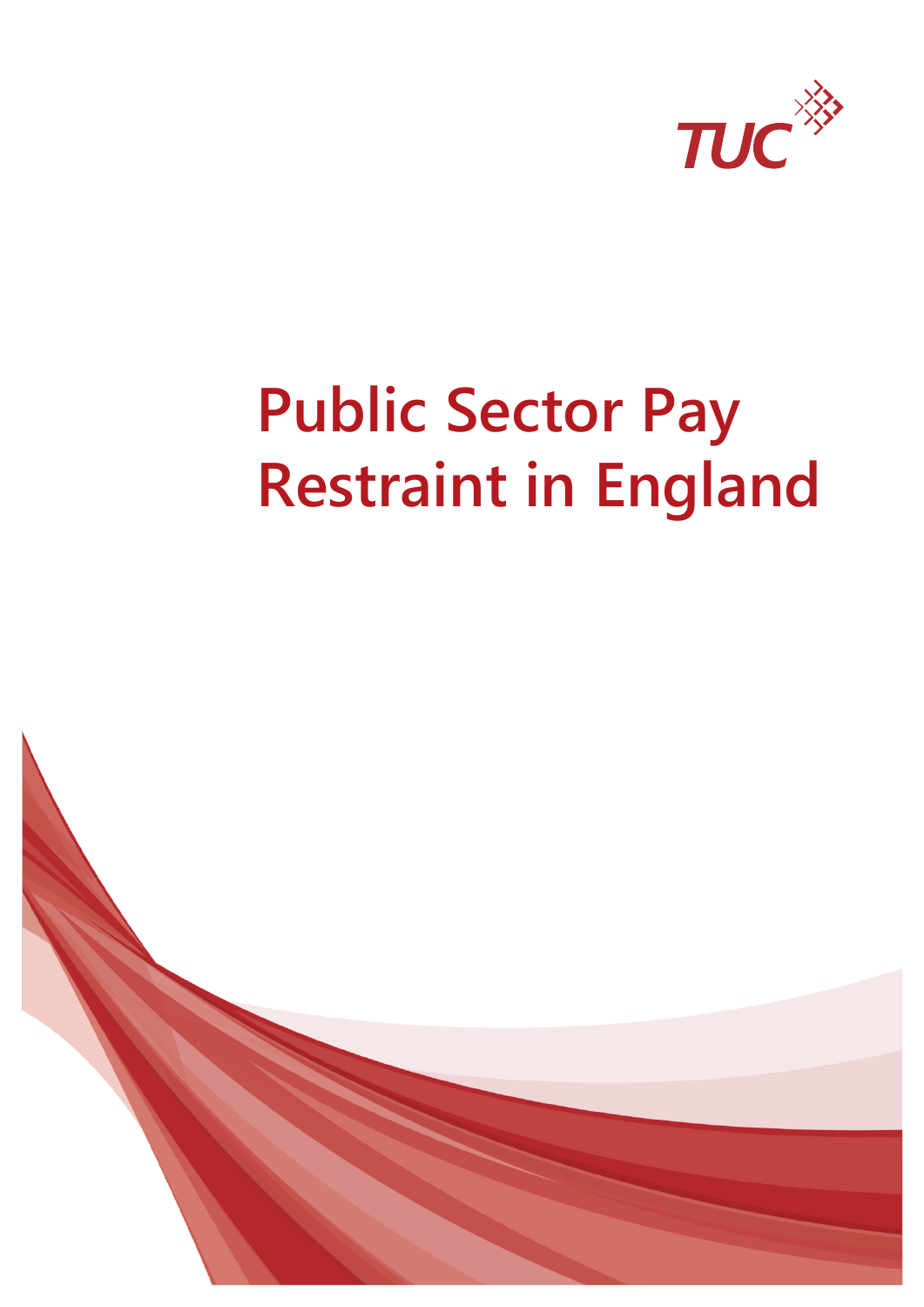

# **Public Sector Pay Restraint in England**

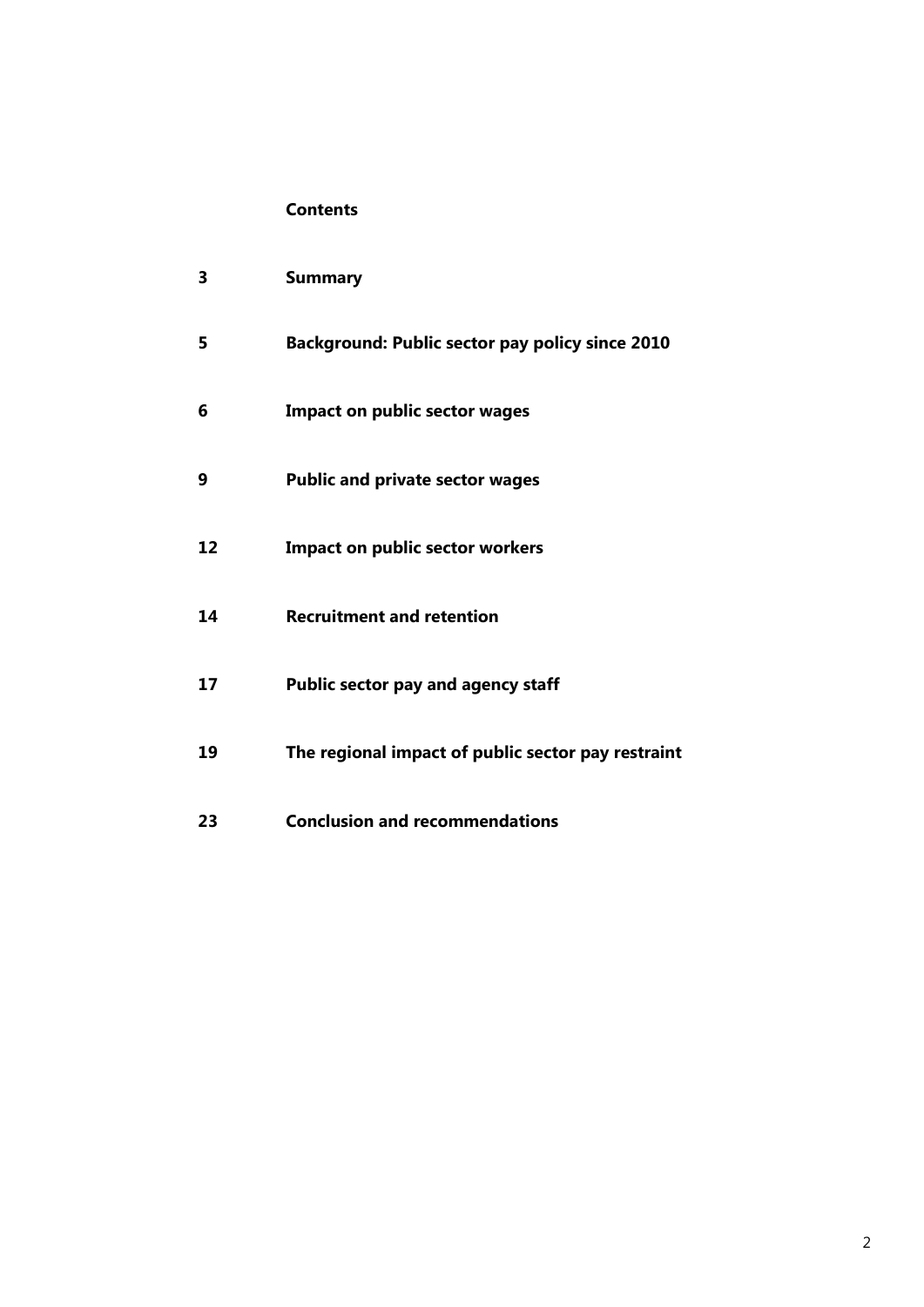#### **Contents**

| 3  | <b>Summary</b>                                         |
|----|--------------------------------------------------------|
| 5  | <b>Background: Public sector pay policy since 2010</b> |
| 6  | <b>Impact on public sector wages</b>                   |
| 9  | <b>Public and private sector wages</b>                 |
| 12 | <b>Impact on public sector workers</b>                 |
| 14 | <b>Recruitment and retention</b>                       |
| 17 | <b>Public sector pay and agency staff</b>              |
| 19 | The regional impact of public sector pay restraint     |
| 23 | <b>Conclusion and recommendations</b>                  |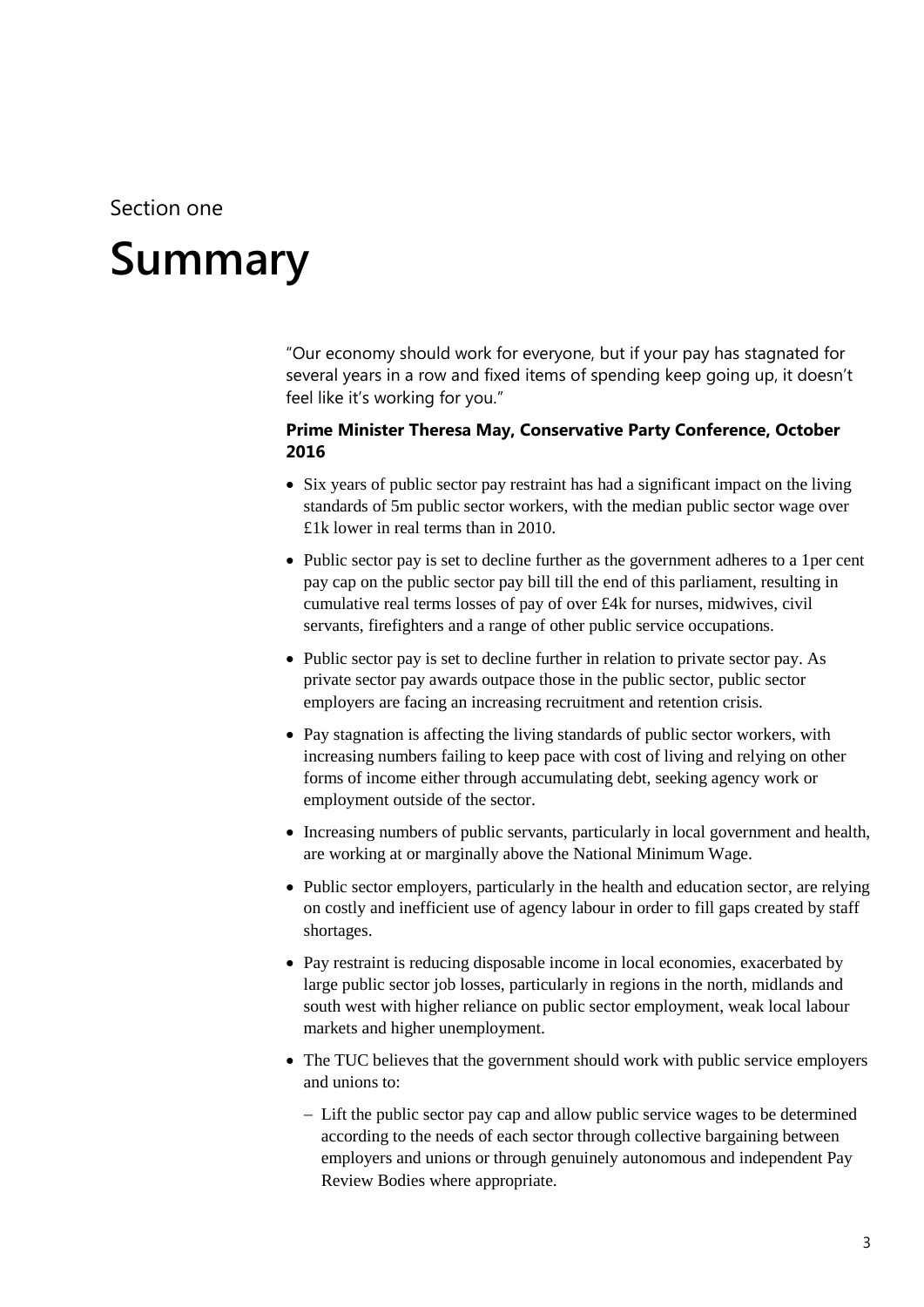### Section one

# <span id="page-2-0"></span>**1 Summary**

"Our economy should work for everyone, but if your pay has stagnated for several years in a row and fixed items of spending keep going up, it doesn't feel like it's working for you."

#### **Prime Minister Theresa May, Conservative Party Conference, October 2016**

- Six years of public sector pay restraint has had a significant impact on the living standards of 5m public sector workers, with the median public sector wage over £1k lower in real terms than in 2010.
- Public sector pay is set to decline further as the government adheres to a 1per cent pay cap on the public sector pay bill till the end of this parliament, resulting in cumulative real terms losses of pay of over £4k for nurses, midwives, civil servants, firefighters and a range of other public service occupations.
- Public sector pay is set to decline further in relation to private sector pay. As private sector pay awards outpace those in the public sector, public sector employers are facing an increasing recruitment and retention crisis.
- Pay stagnation is affecting the living standards of public sector workers, with increasing numbers failing to keep pace with cost of living and relying on other forms of income either through accumulating debt, seeking agency work or employment outside of the sector.
- Increasing numbers of public servants, particularly in local government and health, are working at or marginally above the National Minimum Wage.
- Public sector employers, particularly in the health and education sector, are relying on costly and inefficient use of agency labour in order to fill gaps created by staff shortages.
- Pay restraint is reducing disposable income in local economies, exacerbated by large public sector job losses, particularly in regions in the north, midlands and south west with higher reliance on public sector employment, weak local labour markets and higher unemployment.
- The TUC believes that the government should work with public service employers and unions to:
	- Lift the public sector pay cap and allow public service wages to be determined according to the needs of each sector through collective bargaining between employers and unions or through genuinely autonomous and independent Pay Review Bodies where appropriate.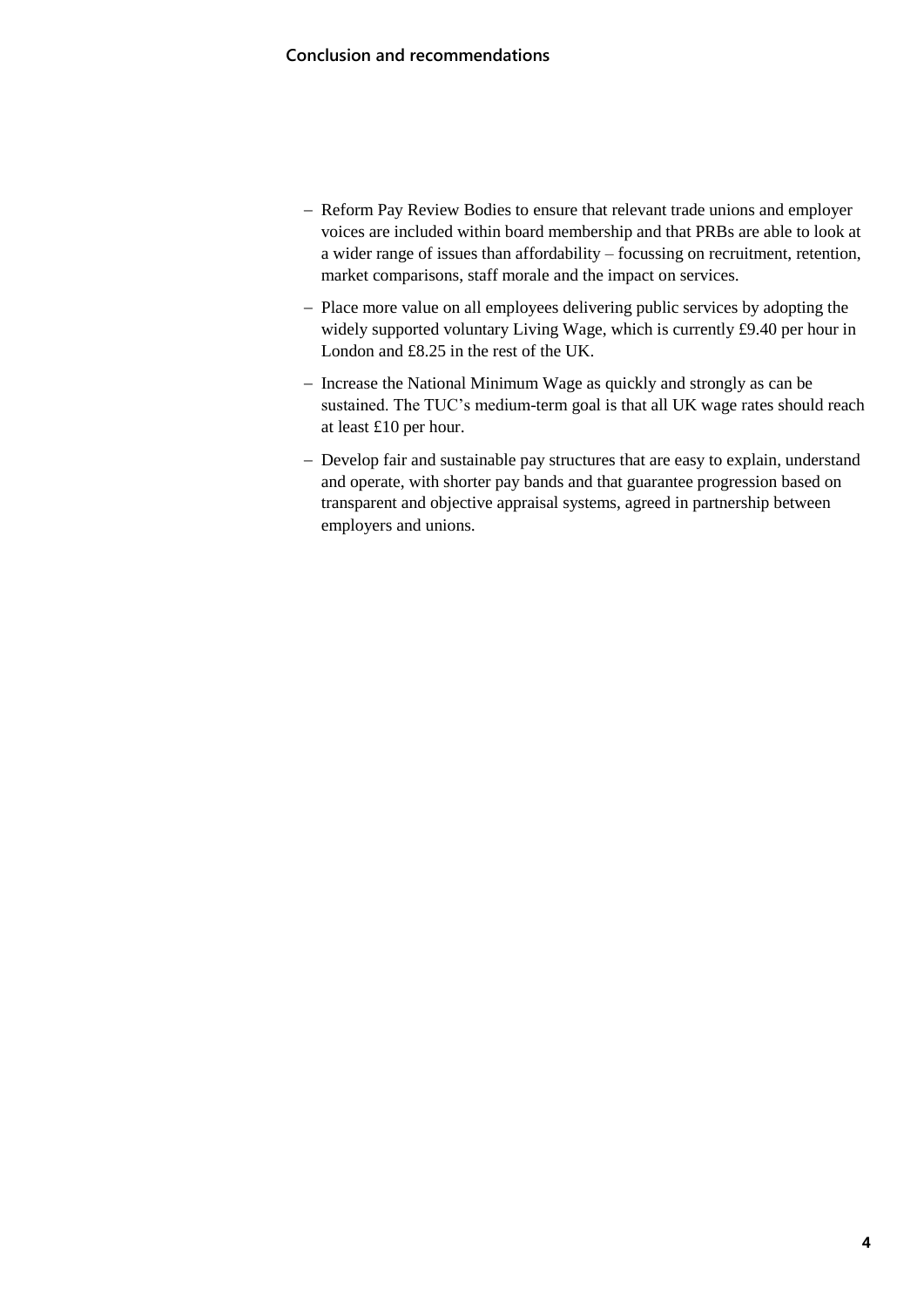- Reform Pay Review Bodies to ensure that relevant trade unions and employer voices are included within board membership and that PRBs are able to look at a wider range of issues than affordability – focussing on recruitment, retention, market comparisons, staff morale and the impact on services.
- Place more value on all employees delivering public services by adopting the widely supported voluntary Living Wage, which is currently £9.40 per hour in London and £8.25 in the rest of the UK.
- Increase the National Minimum Wage as quickly and strongly as can be sustained. The TUC's medium-term goal is that all UK wage rates should reach at least £10 per hour.
- Develop fair and sustainable pay structures that are easy to explain, understand and operate, with shorter pay bands and that guarantee progression based on transparent and objective appraisal systems, agreed in partnership between employers and unions.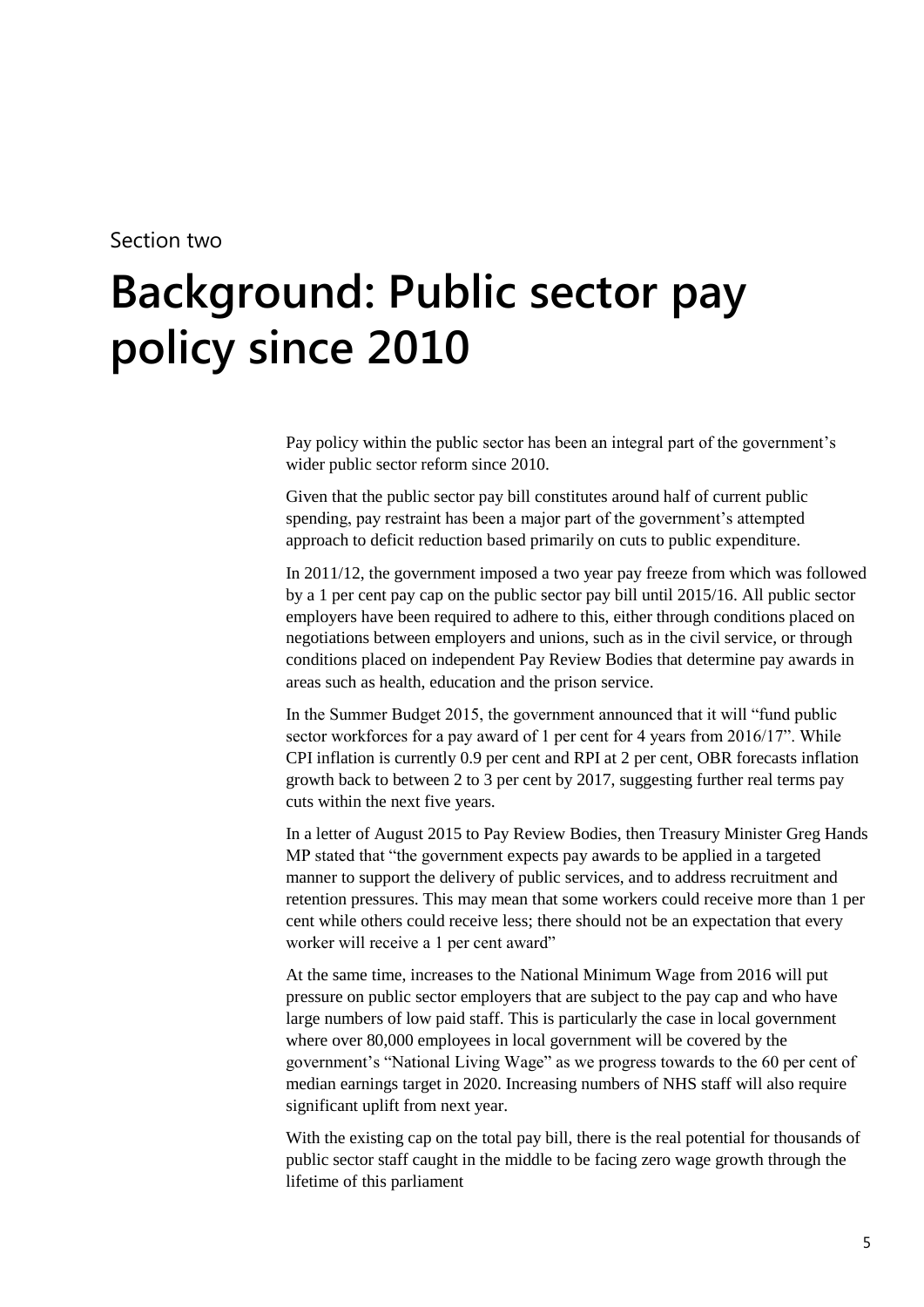#### Section two

# <span id="page-4-0"></span>**2 Background: Public sector pay policy since 2010**

Pay policy within the public sector has been an integral part of the government's wider public sector reform since 2010.

Given that the public sector pay bill constitutes around half of current public spending, pay restraint has been a major part of the government's attempted approach to deficit reduction based primarily on cuts to public expenditure.

In 2011/12, the government imposed a two year pay freeze from which was followed by a 1 per cent pay cap on the public sector pay bill until 2015/16. All public sector employers have been required to adhere to this, either through conditions placed on negotiations between employers and unions, such as in the civil service, or through conditions placed on independent Pay Review Bodies that determine pay awards in areas such as health, education and the prison service.

In the Summer Budget 2015, the government announced that it will "fund public sector workforces for a pay award of 1 per cent for 4 years from 2016/17". While CPI inflation is currently 0.9 per cent and RPI at 2 per cent, OBR forecasts inflation growth back to between 2 to 3 per cent by 2017, suggesting further real terms pay cuts within the next five years.

In a letter of August 2015 to Pay Review Bodies, then Treasury Minister Greg Hands MP stated that "the government expects pay awards to be applied in a targeted manner to support the delivery of public services, and to address recruitment and retention pressures. This may mean that some workers could receive more than 1 per cent while others could receive less; there should not be an expectation that every worker will receive a 1 per cent award"

At the same time, increases to the National Minimum Wage from 2016 will put pressure on public sector employers that are subject to the pay cap and who have large numbers of low paid staff. This is particularly the case in local government where over 80,000 employees in local government will be covered by the government's "National Living Wage" as we progress towards to the 60 per cent of median earnings target in 2020. Increasing numbers of NHS staff will also require significant uplift from next year.

With the existing cap on the total pay bill, there is the real potential for thousands of public sector staff caught in the middle to be facing zero wage growth through the lifetime of this parliament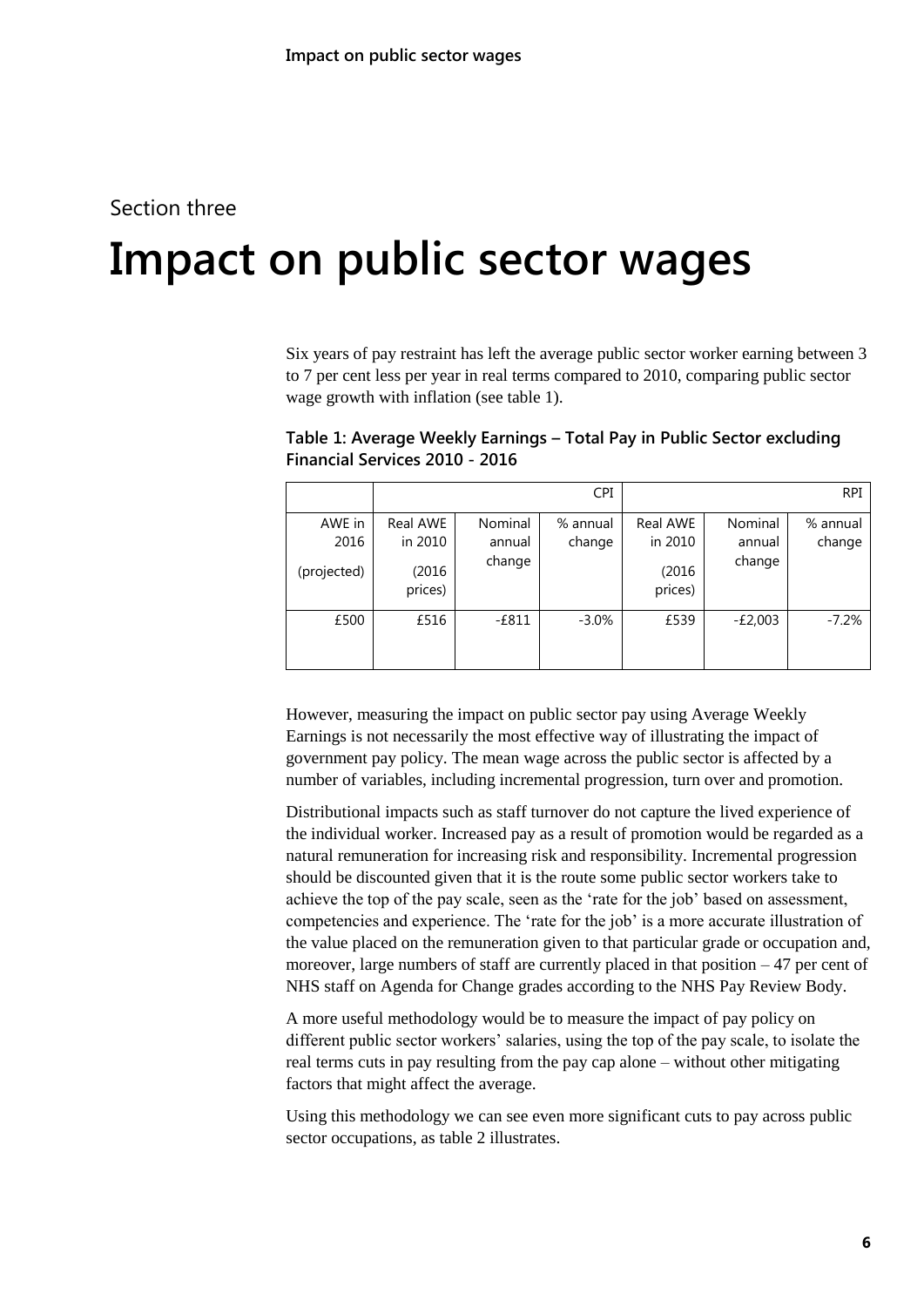### Section three

# <span id="page-5-0"></span>**3 Impact on public sector wages**

Six years of pay restraint has left the average public sector worker earning between 3 to 7 per cent less per year in real terms compared to 2010, comparing public sector wage growth with inflation (see table 1).

|                               |                                          |                             | <b>CPI</b>         |                                          |                             | <b>RPI</b>         |
|-------------------------------|------------------------------------------|-----------------------------|--------------------|------------------------------------------|-----------------------------|--------------------|
| AWE in<br>2016<br>(projected) | Real AWE<br>in 2010<br>(2016)<br>prices) | Nominal<br>annual<br>change | % annual<br>change | Real AWE<br>in 2010<br>(2016)<br>prices) | Nominal<br>annual<br>change | % annual<br>change |
| £500                          | £516                                     | $-£811$                     | $-3.0\%$           | £539                                     | $-E2,003$                   | $-7.2%$            |

**Table 1: Average Weekly Earnings – Total Pay in Public Sector excluding Financial Services 2010 - 2016**

However, measuring the impact on public sector pay using Average Weekly Earnings is not necessarily the most effective way of illustrating the impact of government pay policy. The mean wage across the public sector is affected by a number of variables, including incremental progression, turn over and promotion.

Distributional impacts such as staff turnover do not capture the lived experience of the individual worker. Increased pay as a result of promotion would be regarded as a natural remuneration for increasing risk and responsibility. Incremental progression should be discounted given that it is the route some public sector workers take to achieve the top of the pay scale, seen as the 'rate for the job' based on assessment, competencies and experience. The 'rate for the job' is a more accurate illustration of the value placed on the remuneration given to that particular grade or occupation and, moreover, large numbers of staff are currently placed in that position  $-47$  per cent of NHS staff on Agenda for Change grades according to the NHS Pay Review Body.

A more useful methodology would be to measure the impact of pay policy on different public sector workers' salaries, using the top of the pay scale, to isolate the real terms cuts in pay resulting from the pay cap alone – without other mitigating factors that might affect the average.

Using this methodology we can see even more significant cuts to pay across public sector occupations, as table 2 illustrates.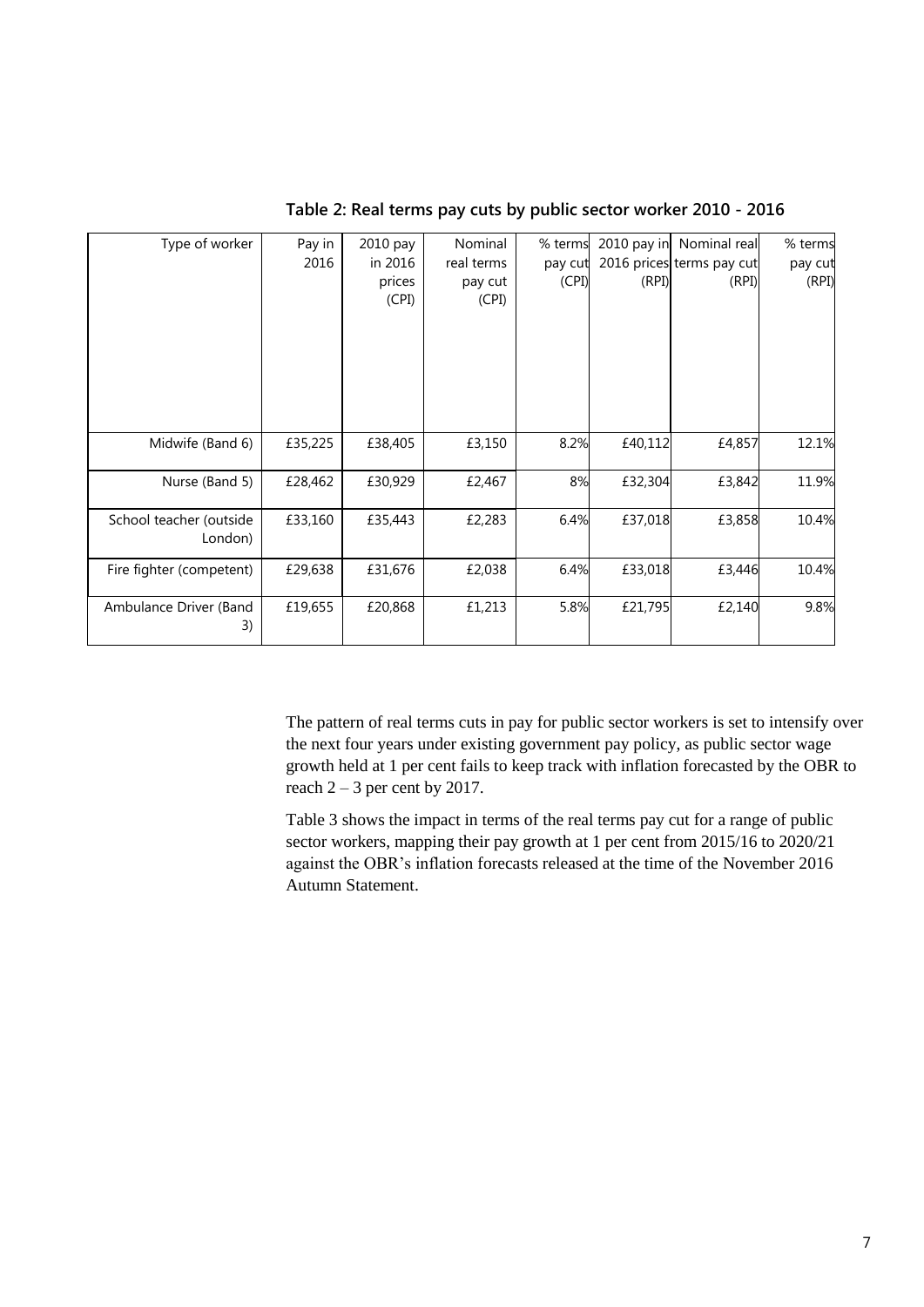| Type of worker           | Pay in  | 2010 pay | Nominal    | % terms |         | 2010 pay in Nominal real  | % terms |
|--------------------------|---------|----------|------------|---------|---------|---------------------------|---------|
|                          | 2016    | in 2016  | real terms | pay cut |         | 2016 prices terms pay cut | pay cut |
|                          |         | prices   | pay cut    | (CPI)   | (RPI)   | (RPI)                     | (RPI)   |
|                          |         | (CPI)    | (CPI)      |         |         |                           |         |
|                          |         |          |            |         |         |                           |         |
|                          |         |          |            |         |         |                           |         |
|                          |         |          |            |         |         |                           |         |
|                          |         |          |            |         |         |                           |         |
|                          |         |          |            |         |         |                           |         |
|                          |         |          |            |         |         |                           |         |
| Midwife (Band 6)         | £35,225 | £38,405  | £3,150     | 8.2%    | £40,112 | £4,857                    | 12.1%   |
|                          |         |          |            |         |         |                           |         |
| Nurse (Band 5)           | £28,462 | £30,929  | £2,467     | 8%      | £32,304 | £3,842                    | 11.9%   |
| School teacher (outside  | £33,160 | £35,443  | £2,283     | 6.4%    | £37,018 | £3,858                    | 10.4%   |
| London)                  |         |          |            |         |         |                           |         |
|                          |         |          |            |         |         |                           |         |
| Fire fighter (competent) | £29,638 | £31,676  | £2,038     | 6.4%    | £33,018 | £3,446                    | 10.4%   |
|                          |         |          |            |         |         |                           |         |
| Ambulance Driver (Band   | £19,655 | £20,868  | £1,213     | 5.8%    | £21,795 | £2,140                    | 9.8%    |
| 3)                       |         |          |            |         |         |                           |         |

**Table 2: Real terms pay cuts by public sector worker 2010 - 2016**

The pattern of real terms cuts in pay for public sector workers is set to intensify over the next four years under existing government pay policy, as public sector wage growth held at 1 per cent fails to keep track with inflation forecasted by the OBR to reach  $2 - 3$  per cent by 2017.

Table 3 shows the impact in terms of the real terms pay cut for a range of public sector workers, mapping their pay growth at 1 per cent from 2015/16 to 2020/21 against the OBR's inflation forecasts released at the time of the November 2016 Autumn Statement.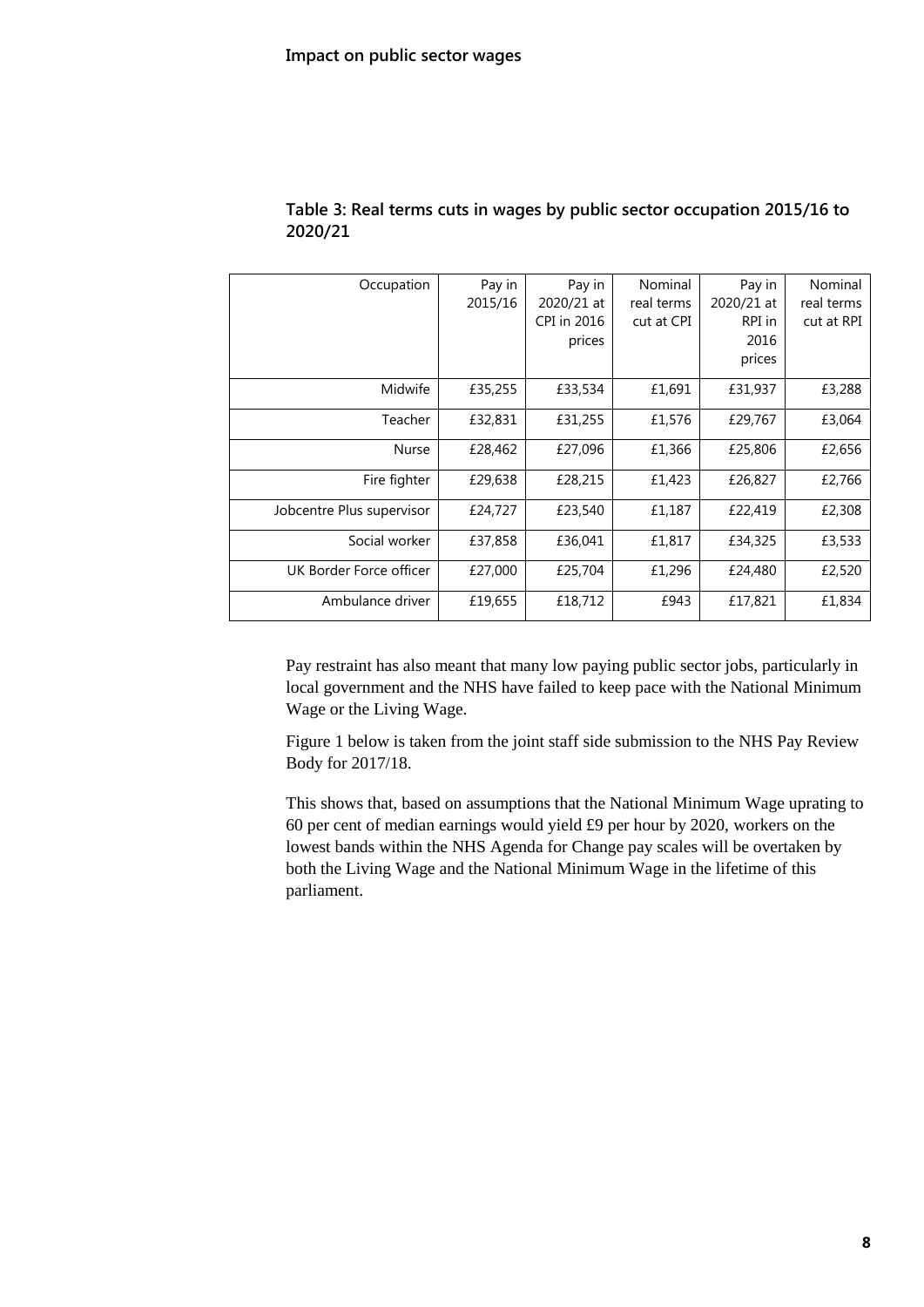| Occupation                | Pay in  | Pay in      | Nominal    | Pay in     | Nominal    |
|---------------------------|---------|-------------|------------|------------|------------|
|                           | 2015/16 | 2020/21 at  | real terms | 2020/21 at | real terms |
|                           |         | CPI in 2016 | cut at CPI | RPI in     | cut at RPI |
|                           |         | prices      |            | 2016       |            |
|                           |         |             |            | prices     |            |
| Midwife                   | £35,255 | £33,534     | £1,691     | £31,937    | £3,288     |
| Teacher                   | £32,831 | £31,255     | £1,576     | £29,767    | £3,064     |
| Nurse                     | £28,462 | £27,096     | £1,366     | £25,806    | £2,656     |
| Fire fighter              | £29,638 | £28,215     | £1,423     | £26,827    | £2,766     |
| Jobcentre Plus supervisor | £24,727 | £23,540     | £1,187     | £22,419    | £2,308     |
| Social worker             | £37,858 | £36,041     | £1,817     | £34,325    | £3,533     |
| UK Border Force officer   | £27,000 | £25,704     | £1,296     | £24,480    | £2,520     |
| Ambulance driver          | £19,655 | £18,712     | £943       | £17,821    | £1,834     |

#### **Table 3: Real terms cuts in wages by public sector occupation 2015/16 to 2020/21**

Pay restraint has also meant that many low paying public sector jobs, particularly in local government and the NHS have failed to keep pace with the National Minimum Wage or the Living Wage.

Figure 1 below is taken from the joint staff side submission to the NHS Pay Review Body for 2017/18.

This shows that, based on assumptions that the National Minimum Wage uprating to 60 per cent of median earnings would yield £9 per hour by 2020, workers on the lowest bands within the NHS Agenda for Change pay scales will be overtaken by both the Living Wage and the National Minimum Wage in the lifetime of this parliament.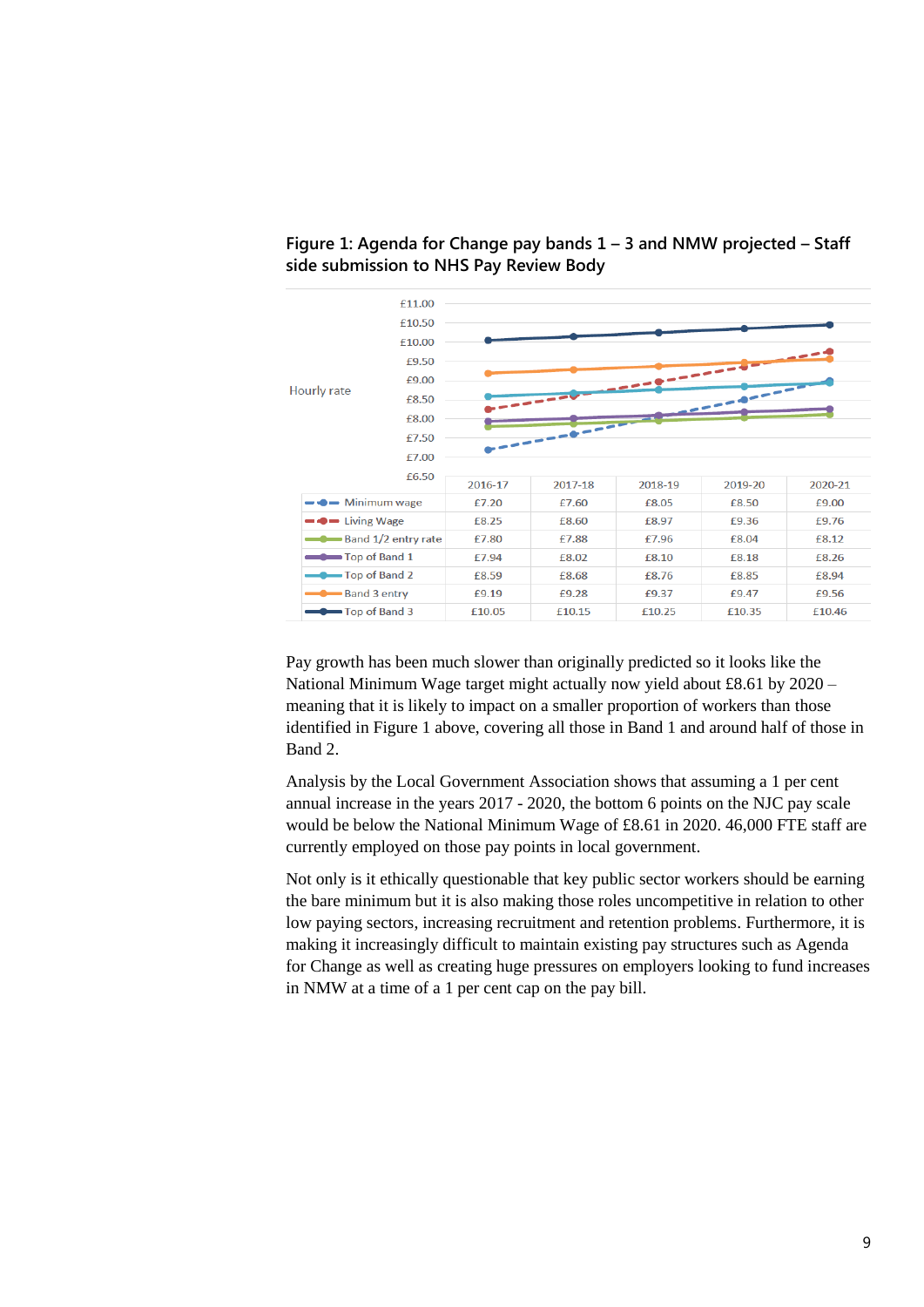

**Figure 1: Agenda for Change pay bands 1 – 3 and NMW projected – Staff side submission to NHS Pay Review Body**

Pay growth has been much slower than originally predicted so it looks like the National Minimum Wage target might actually now yield about £8.61 by 2020 – meaning that it is likely to impact on a smaller proportion of workers than those identified in Figure 1 above, covering all those in Band 1 and around half of those in Band 2.

Analysis by the Local Government Association shows that assuming a 1 per cent annual increase in the years 2017 - 2020, the bottom 6 points on the NJC pay scale would be below the National Minimum Wage of £8.61 in 2020. 46,000 FTE staff are currently employed on those pay points in local government.

Not only is it ethically questionable that key public sector workers should be earning the bare minimum but it is also making those roles uncompetitive in relation to other low paying sectors, increasing recruitment and retention problems. Furthermore, it is making it increasingly difficult to maintain existing pay structures such as Agenda for Change as well as creating huge pressures on employers looking to fund increases in NMW at a time of a 1 per cent cap on the pay bill.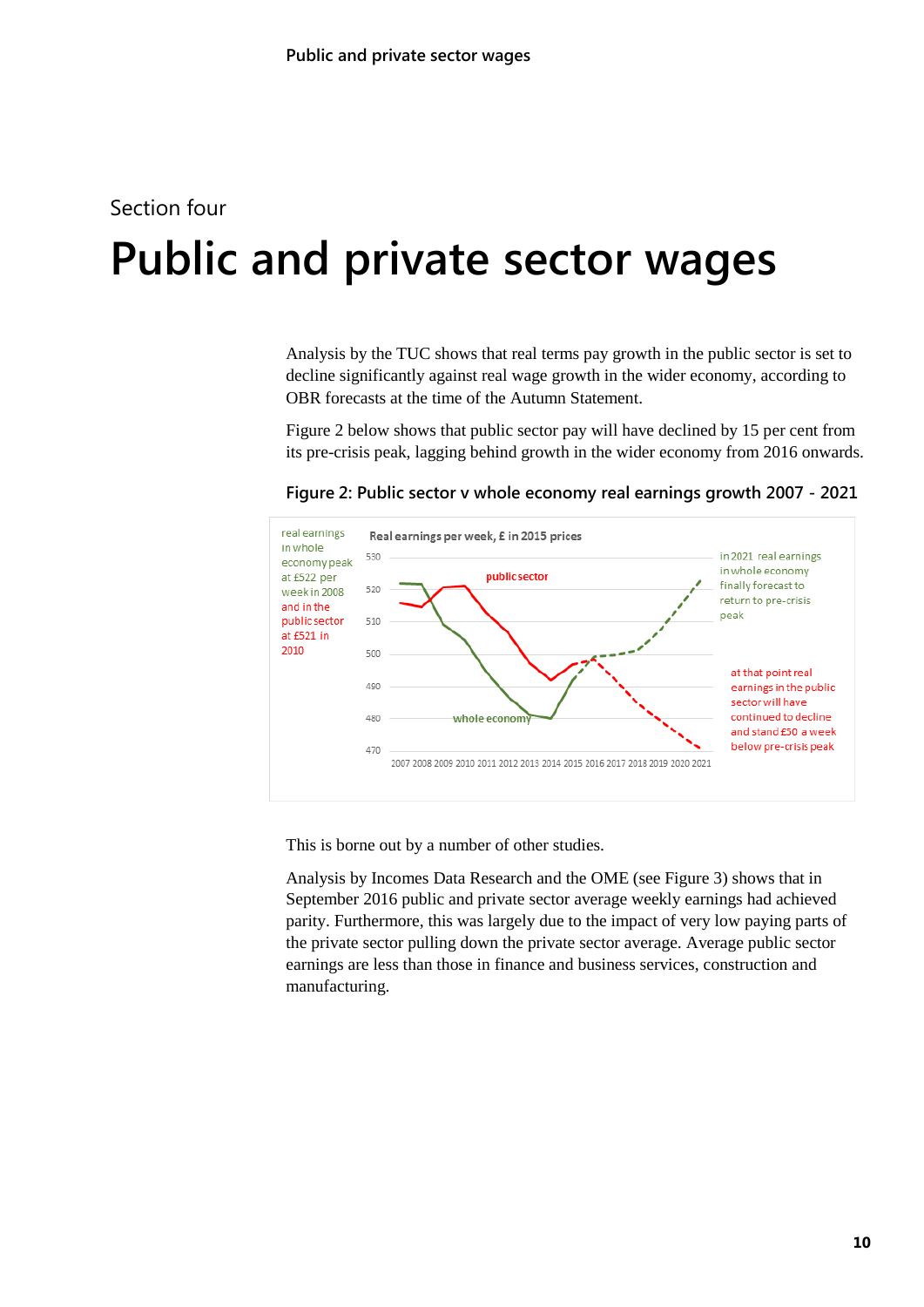# <span id="page-9-0"></span>Section four **4 Public and private sector wages**

Analysis by the TUC shows that real terms pay growth in the public sector is set to decline significantly against real wage growth in the wider economy, according to OBR forecasts at the time of the Autumn Statement.

Figure 2 below shows that public sector pay will have declined by 15 per cent from its pre-crisis peak, lagging behind growth in the wider economy from 2016 onwards.

**Figure 2: Public sector v whole economy real earnings growth 2007 - 2021**



This is borne out by a number of other studies.

Analysis by Incomes Data Research and the OME (see Figure 3) shows that in September 2016 public and private sector average weekly earnings had achieved parity. Furthermore, this was largely due to the impact of very low paying parts of the private sector pulling down the private sector average. Average public sector earnings are less than those in finance and business services, construction and manufacturing.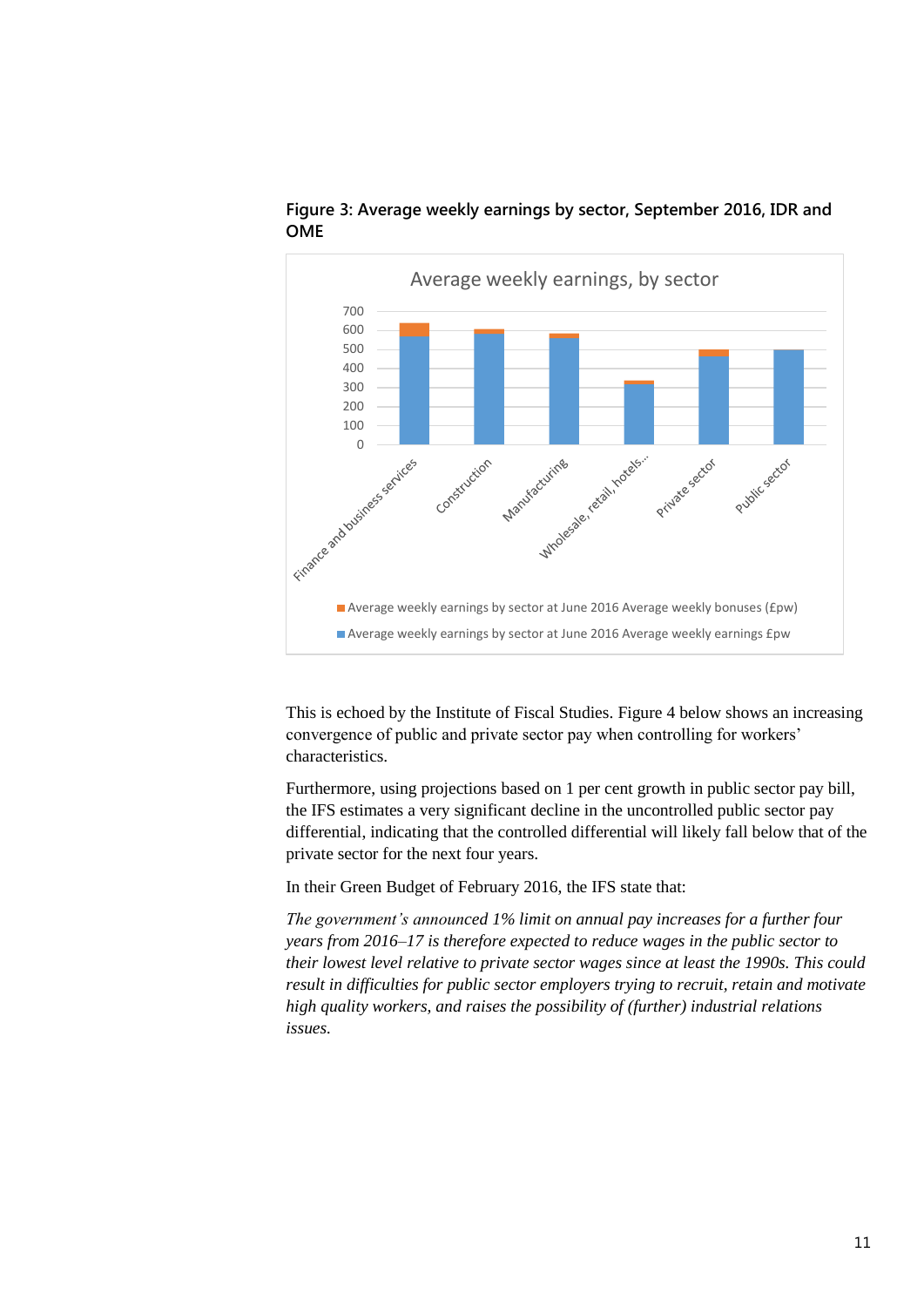

**Figure 3: Average weekly earnings by sector, September 2016, IDR and OME**

This is echoed by the Institute of Fiscal Studies. Figure 4 below shows an increasing convergence of public and private sector pay when controlling for workers' characteristics.

Furthermore, using projections based on 1 per cent growth in public sector pay bill, the IFS estimates a very significant decline in the uncontrolled public sector pay differential, indicating that the controlled differential will likely fall below that of the private sector for the next four years.

In their Green Budget of February 2016, the IFS state that:

*The government's announced 1% limit on annual pay increases for a further four years from 2016–17 is therefore expected to reduce wages in the public sector to their lowest level relative to private sector wages since at least the 1990s. This could result in difficulties for public sector employers trying to recruit, retain and motivate high quality workers, and raises the possibility of (further) industrial relations issues.*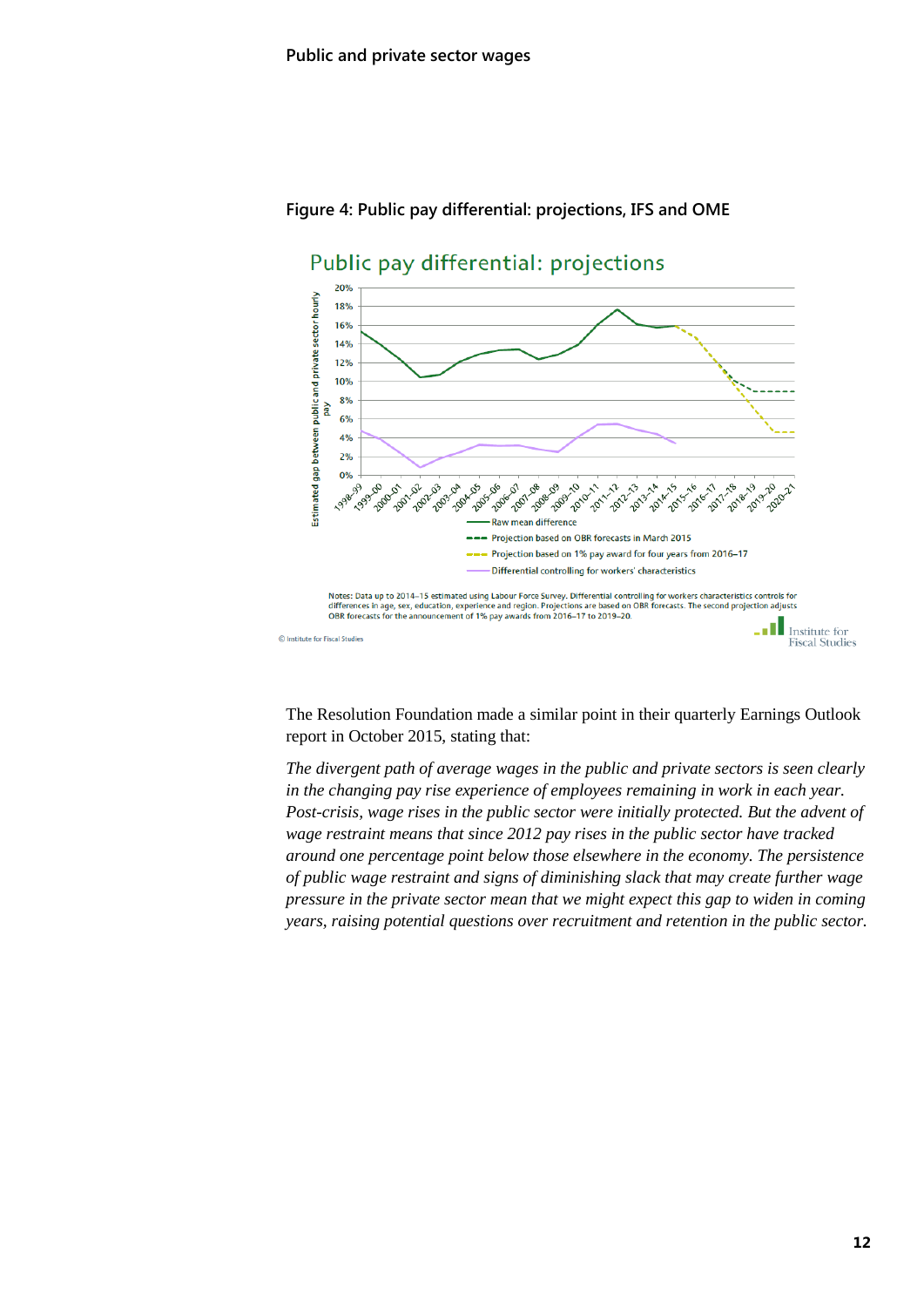

#### **Figure 4: Public pay differential: projections, IFS and OME**

The Resolution Foundation made a similar point in their quarterly Earnings Outlook report in October 2015, stating that:

*The divergent path of average wages in the public and private sectors is seen clearly in the changing pay rise experience of employees remaining in work in each year. Post-crisis, wage rises in the public sector were initially protected. But the advent of wage restraint means that since 2012 pay rises in the public sector have tracked around one percentage point below those elsewhere in the economy. The persistence of public wage restraint and signs of diminishing slack that may create further wage pressure in the private sector mean that we might expect this gap to widen in coming years, raising potential questions over recruitment and retention in the public sector.*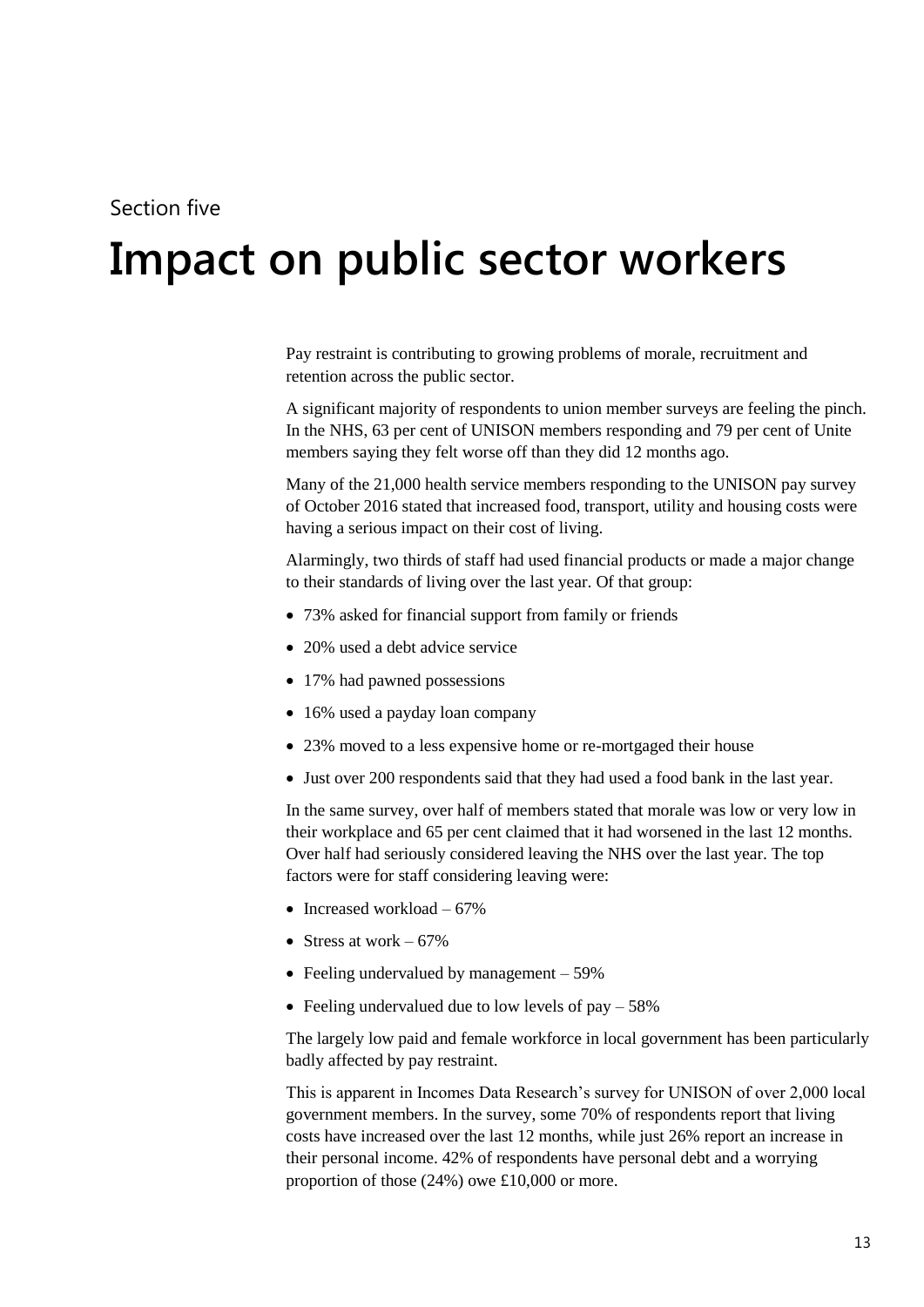### Section five

# <span id="page-12-0"></span>**5 Impact on public sector workers**

Pay restraint is contributing to growing problems of morale, recruitment and retention across the public sector.

A significant majority of respondents to union member surveys are feeling the pinch. In the NHS, 63 per cent of UNISON members responding and 79 per cent of Unite members saying they felt worse off than they did 12 months ago.

Many of the 21,000 health service members responding to the UNISON pay survey of October 2016 stated that increased food, transport, utility and housing costs were having a serious impact on their cost of living.

Alarmingly, two thirds of staff had used financial products or made a major change to their standards of living over the last year. Of that group:

- 73% asked for financial support from family or friends
- 20% used a debt advice service
- 17% had pawned possessions
- 16% used a payday loan company
- 23% moved to a less expensive home or re-mortgaged their house
- Just over 200 respondents said that they had used a food bank in the last year.

In the same survey, over half of members stated that morale was low or very low in their workplace and 65 per cent claimed that it had worsened in the last 12 months. Over half had seriously considered leaving the NHS over the last year. The top factors were for staff considering leaving were:

- Increased workload  $-67%$
- Stress at work  $-67\%$
- Feeling undervalued by management 59%
- Feeling undervalued due to low levels of pay  $-58\%$

The largely low paid and female workforce in local government has been particularly badly affected by pay restraint.

This is apparent in Incomes Data Research's survey for UNISON of over 2,000 local government members. In the survey, some 70% of respondents report that living costs have increased over the last 12 months, while just 26% report an increase in their personal income. 42% of respondents have personal debt and a worrying proportion of those (24%) owe £10,000 or more.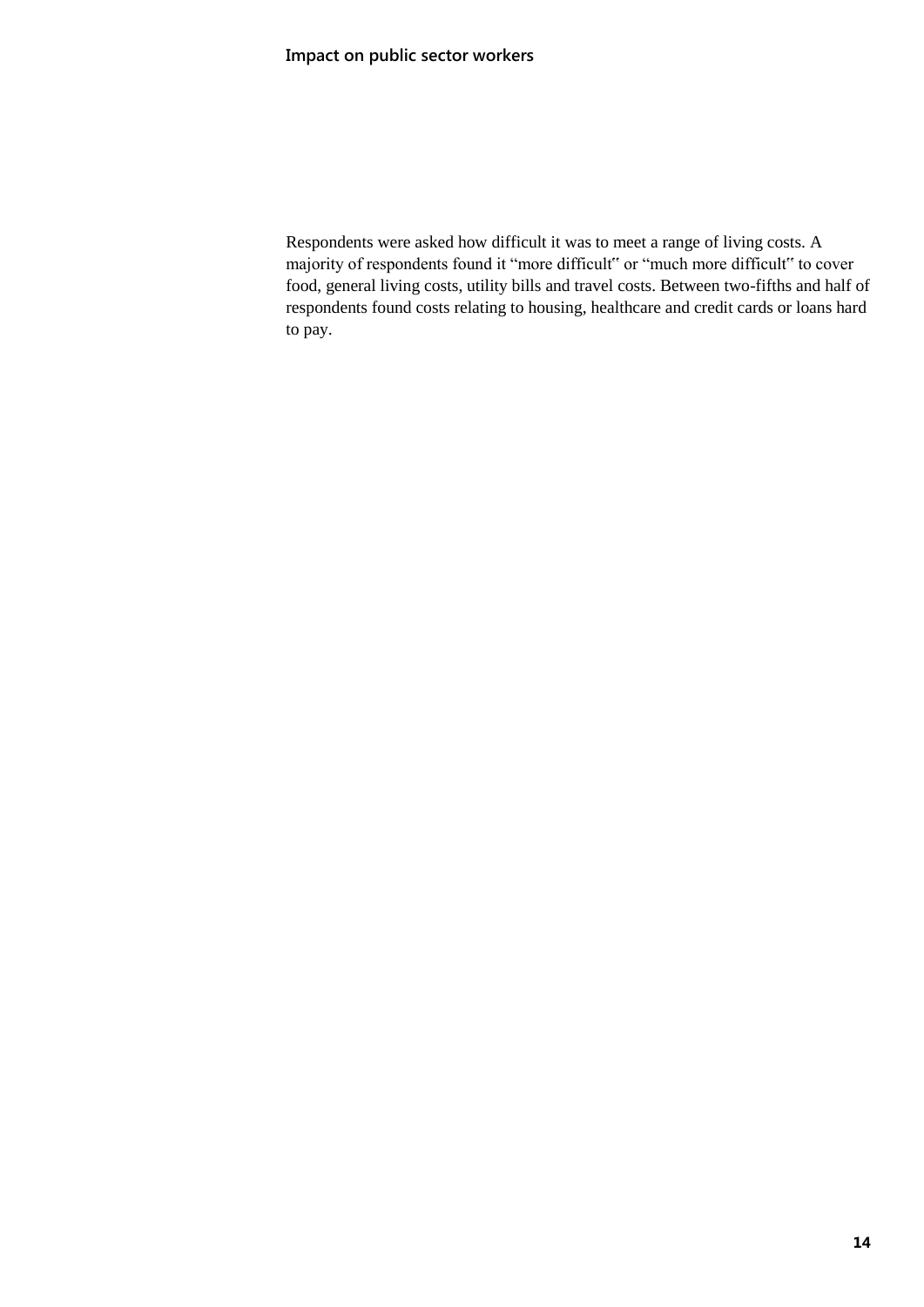Respondents were asked how difficult it was to meet a range of living costs. A majority of respondents found it "more difficult" or "much more difficult" to cover food, general living costs, utility bills and travel costs. Between two-fifths and half of respondents found costs relating to housing, healthcare and credit cards or loans hard to pay.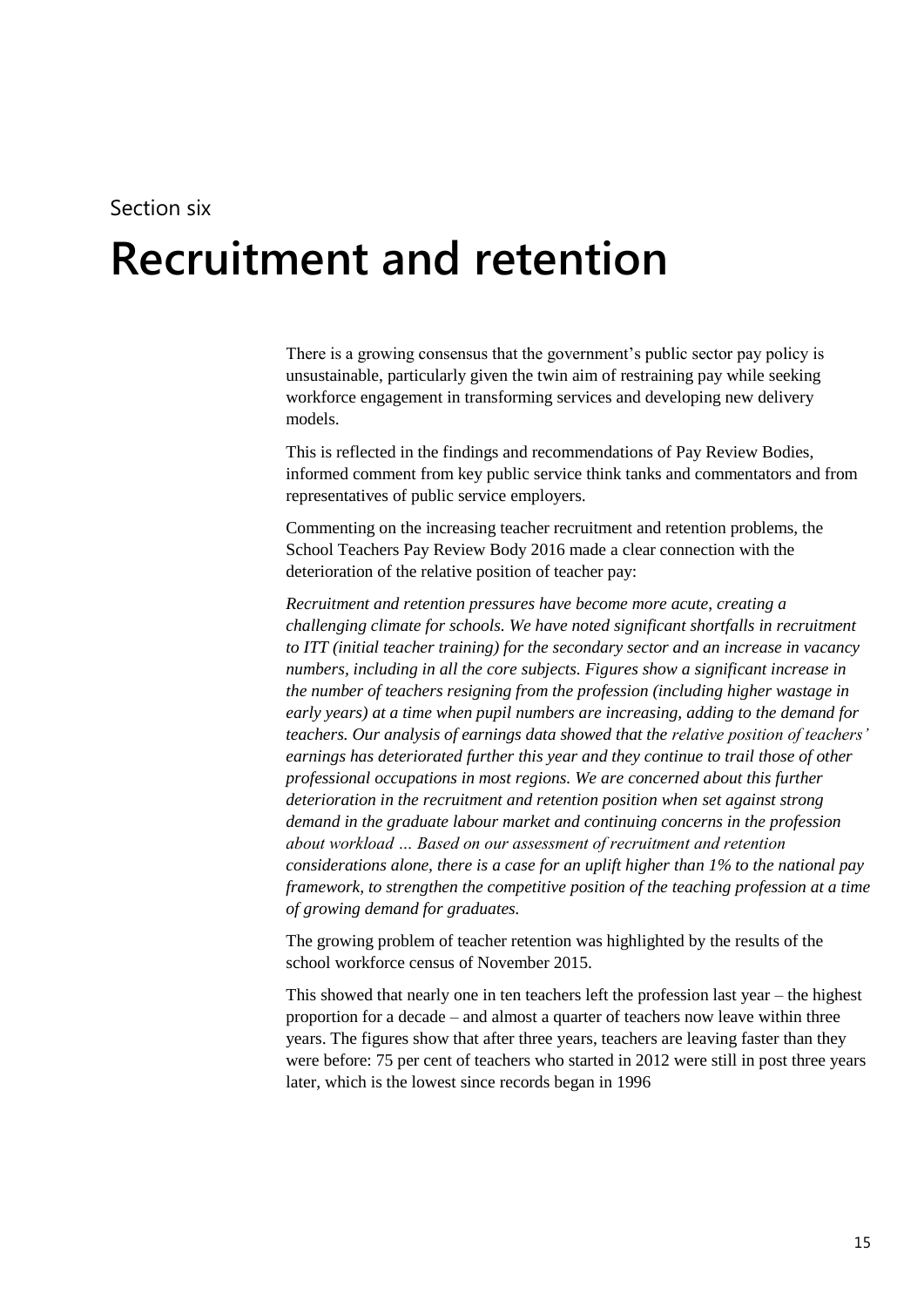# <span id="page-14-0"></span>**6 Recruitment and retention**

There is a growing consensus that the government's public sector pay policy is unsustainable, particularly given the twin aim of restraining pay while seeking workforce engagement in transforming services and developing new delivery models.

This is reflected in the findings and recommendations of Pay Review Bodies, informed comment from key public service think tanks and commentators and from representatives of public service employers.

Commenting on the increasing teacher recruitment and retention problems, the School Teachers Pay Review Body 2016 made a clear connection with the deterioration of the relative position of teacher pay:

*Recruitment and retention pressures have become more acute, creating a challenging climate for schools. We have noted significant shortfalls in recruitment to ITT (initial teacher training) for the secondary sector and an increase in vacancy numbers, including in all the core subjects. Figures show a significant increase in the number of teachers resigning from the profession (including higher wastage in early years) at a time when pupil numbers are increasing, adding to the demand for teachers. Our analysis of earnings data showed that the relative position of teachers' earnings has deteriorated further this year and they continue to trail those of other professional occupations in most regions. We are concerned about this further deterioration in the recruitment and retention position when set against strong demand in the graduate labour market and continuing concerns in the profession about workload … Based on our assessment of recruitment and retention considerations alone, there is a case for an uplift higher than 1% to the national pay framework, to strengthen the competitive position of the teaching profession at a time of growing demand for graduates.* 

The growing problem of teacher retention was highlighted by the results of the school workforce census of November 2015.

This showed that nearly one in ten teachers left the profession last year – the highest proportion for a decade – and almost a quarter of teachers now leave within three years. The figures show that after three years, teachers are leaving faster than they were before: 75 per cent of teachers who started in 2012 were still in post three years later, which is the lowest since records began in 1996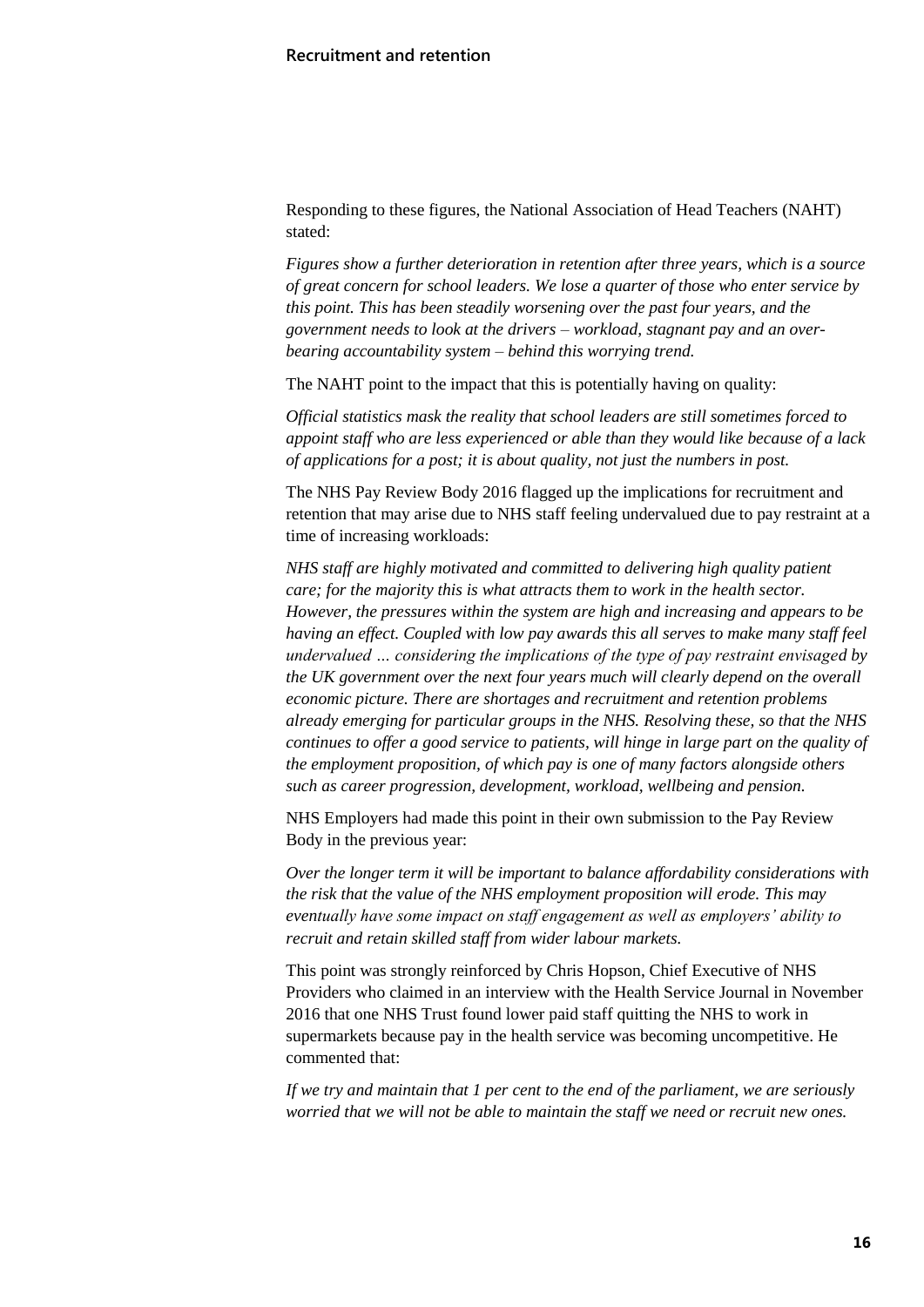Responding to these figures, the National Association of Head Teachers (NAHT) stated:

*Figures show a further deterioration in retention after three years, which is a source of great concern for school leaders. We lose a quarter of those who enter service by this point. This has been steadily worsening over the past four years, and the government needs to look at the drivers – workload, stagnant pay and an overbearing accountability system – behind this worrying trend.*

The NAHT point to the impact that this is potentially having on quality:

*Official statistics mask the reality that school leaders are still sometimes forced to appoint staff who are less experienced or able than they would like because of a lack of applications for a post; it is about quality, not just the numbers in post.*

The NHS Pay Review Body 2016 flagged up the implications for recruitment and retention that may arise due to NHS staff feeling undervalued due to pay restraint at a time of increasing workloads:

*NHS staff are highly motivated and committed to delivering high quality patient care; for the majority this is what attracts them to work in the health sector. However, the pressures within the system are high and increasing and appears to be having an effect. Coupled with low pay awards this all serves to make many staff feel undervalued … considering the implications of the type of pay restraint envisaged by the UK government over the next four years much will clearly depend on the overall economic picture. There are shortages and recruitment and retention problems already emerging for particular groups in the NHS. Resolving these, so that the NHS continues to offer a good service to patients, will hinge in large part on the quality of the employment proposition, of which pay is one of many factors alongside others such as career progression, development, workload, wellbeing and pension.* 

NHS Employers had made this point in their own submission to the Pay Review Body in the previous year:

*Over the longer term it will be important to balance affordability considerations with the risk that the value of the NHS employment proposition will erode. This may eventually have some impact on staff engagement as well as employers' ability to recruit and retain skilled staff from wider labour markets.*

This point was strongly reinforced by Chris Hopson, Chief Executive of NHS Providers who claimed in an interview with the Health Service Journal in November 2016 that one NHS Trust found lower paid staff quitting the NHS to work in supermarkets because pay in the health service was becoming uncompetitive. He commented that:

*If we try and maintain that 1 per cent to the end of the parliament, we are seriously worried that we will not be able to maintain the staff we need or recruit new ones.*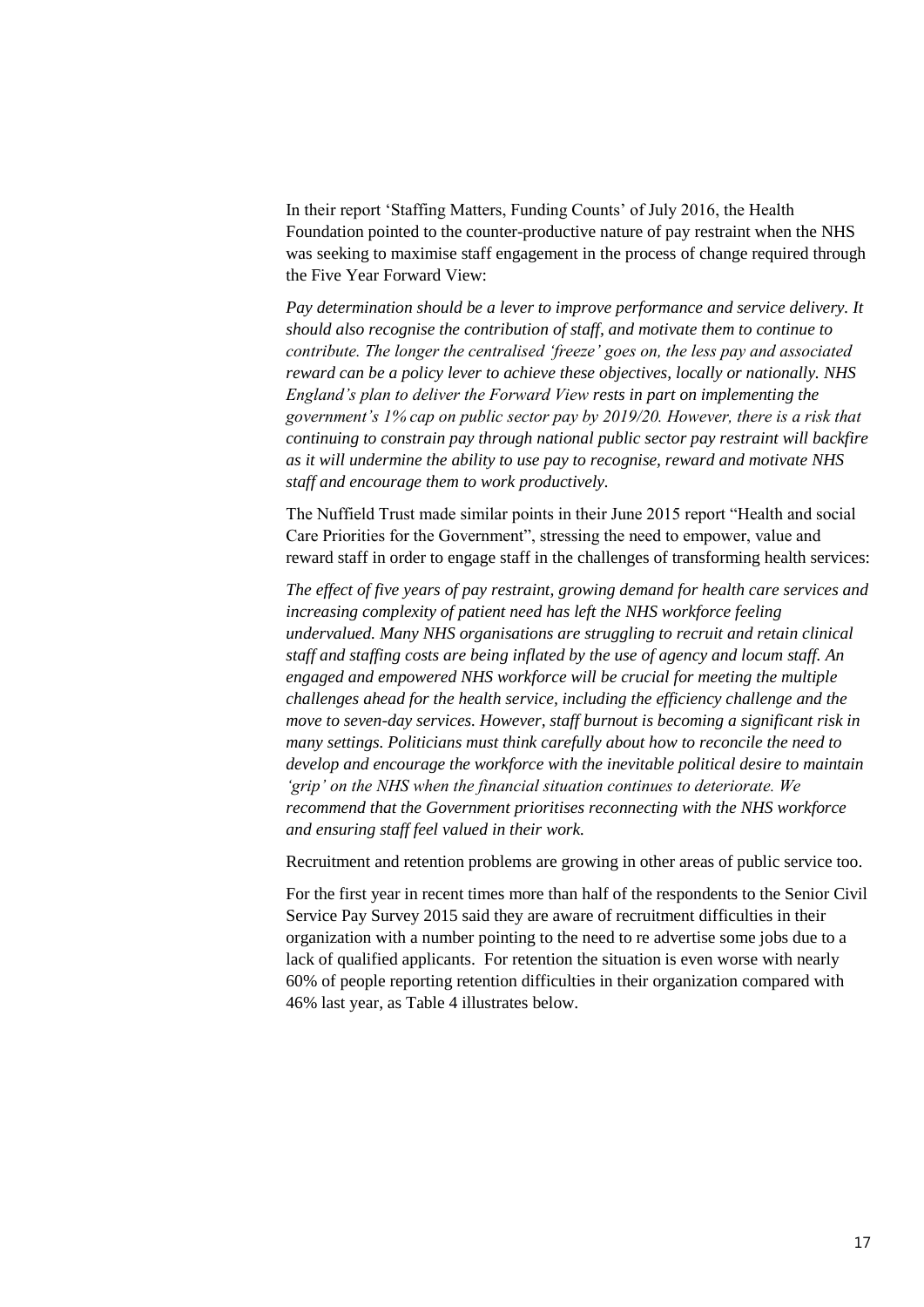In their report 'Staffing Matters, Funding Counts' of July 2016, the Health Foundation pointed to the counter-productive nature of pay restraint when the NHS was seeking to maximise staff engagement in the process of change required through the Five Year Forward View:

*Pay determination should be a lever to improve performance and service delivery. It should also recognise the contribution of staff, and motivate them to continue to contribute. The longer the centralised 'freeze' goes on, the less pay and associated reward can be a policy lever to achieve these objectives, locally or nationally. NHS England's plan to deliver the Forward View rests in part on implementing the government's 1% cap on public sector pay by 2019/20. However, there is a risk that continuing to constrain pay through national public sector pay restraint will backfire as it will undermine the ability to use pay to recognise, reward and motivate NHS staff and encourage them to work productively.*

The Nuffield Trust made similar points in their June 2015 report "Health and social Care Priorities for the Government", stressing the need to empower, value and reward staff in order to engage staff in the challenges of transforming health services:

*The effect of five years of pay restraint, growing demand for health care services and increasing complexity of patient need has left the NHS workforce feeling undervalued. Many NHS organisations are struggling to recruit and retain clinical staff and staffing costs are being inflated by the use of agency and locum staff. An engaged and empowered NHS workforce will be crucial for meeting the multiple challenges ahead for the health service, including the efficiency challenge and the move to seven-day services. However, staff burnout is becoming a significant risk in many settings. Politicians must think carefully about how to reconcile the need to develop and encourage the workforce with the inevitable political desire to maintain 'grip' on the NHS when the financial situation continues to deteriorate. We recommend that the Government prioritises reconnecting with the NHS workforce and ensuring staff feel valued in their work.*

Recruitment and retention problems are growing in other areas of public service too.

For the first year in recent times more than half of the respondents to the Senior Civil Service Pay Survey 2015 said they are aware of recruitment difficulties in their organization with a number pointing to the need to re advertise some jobs due to a lack of qualified applicants. For retention the situation is even worse with nearly 60% of people reporting retention difficulties in their organization compared with 46% last year, as Table 4 illustrates below.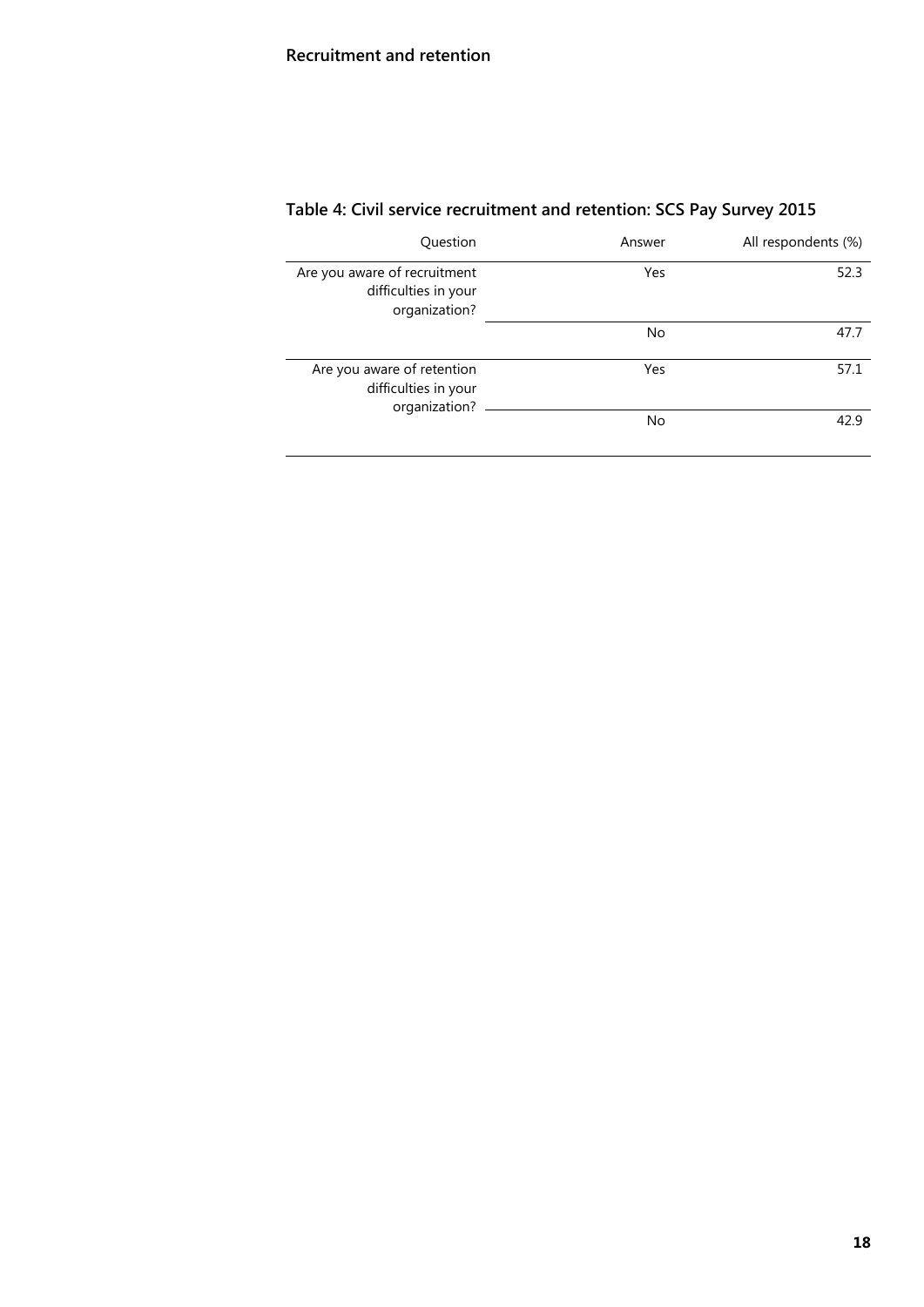## **Recruitment and retention**

| Question                                                              | Answer    | All respondents (%) |
|-----------------------------------------------------------------------|-----------|---------------------|
| Are you aware of recruitment<br>difficulties in your<br>organization? | Yes       | 52.3                |
|                                                                       | <b>No</b> | 47.7                |
| Are you aware of retention<br>difficulties in your<br>organization?   | Yes       | 57.1                |
|                                                                       | <b>No</b> | 42.9                |

# **Table 4: Civil service recruitment and retention: SCS Pay Survey 2015**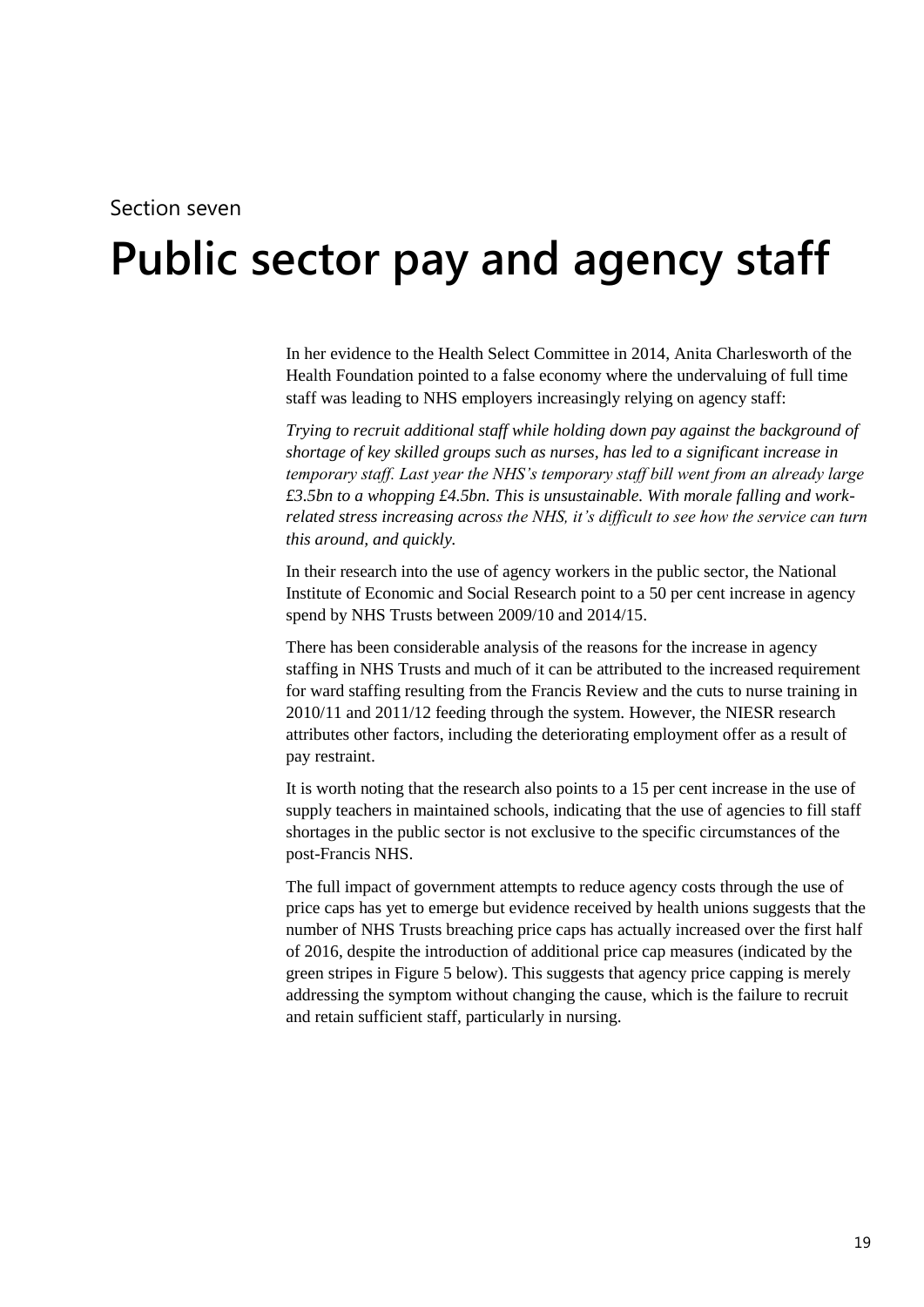#### Section seven

# <span id="page-18-0"></span>**7 Public sector pay and agency staff**

In her evidence to the Health Select Committee in 2014, Anita Charlesworth of the Health Foundation pointed to a false economy where the undervaluing of full time staff was leading to NHS employers increasingly relying on agency staff:

*Trying to recruit additional staff while holding down pay against the background of shortage of key skilled groups such as nurses, has led to a significant increase in temporary staff. Last year the NHS's temporary staff bill went from an already large £3.5bn to a whopping £4.5bn. This is unsustainable. With morale falling and workrelated stress increasing across the NHS, it's difficult to see how the service can turn this around, and quickly.*

In their research into the use of agency workers in the public sector, the National Institute of Economic and Social Research point to a 50 per cent increase in agency spend by NHS Trusts between 2009/10 and 2014/15.

There has been considerable analysis of the reasons for the increase in agency staffing in NHS Trusts and much of it can be attributed to the increased requirement for ward staffing resulting from the Francis Review and the cuts to nurse training in 2010/11 and 2011/12 feeding through the system. However, the NIESR research attributes other factors, including the deteriorating employment offer as a result of pay restraint.

It is worth noting that the research also points to a 15 per cent increase in the use of supply teachers in maintained schools, indicating that the use of agencies to fill staff shortages in the public sector is not exclusive to the specific circumstances of the post-Francis NHS.

The full impact of government attempts to reduce agency costs through the use of price caps has yet to emerge but evidence received by health unions suggests that the number of NHS Trusts breaching price caps has actually increased over the first half of 2016, despite the introduction of additional price cap measures (indicated by the green stripes in Figure 5 below). This suggests that agency price capping is merely addressing the symptom without changing the cause, which is the failure to recruit and retain sufficient staff, particularly in nursing.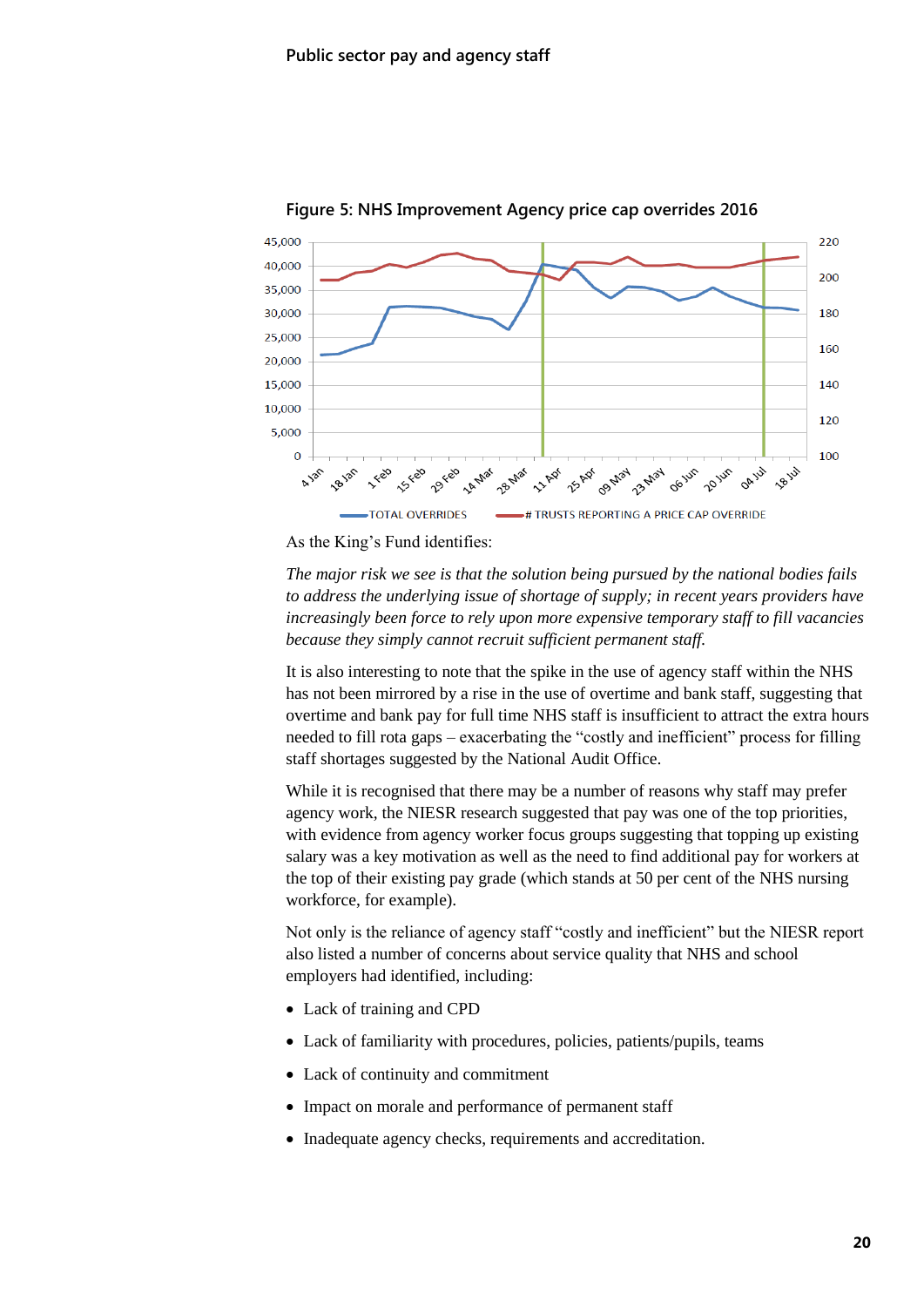

**Figure 5: NHS Improvement Agency price cap overrides 2016**

As the King's Fund identifies:

*The major risk we see is that the solution being pursued by the national bodies fails to address the underlying issue of shortage of supply; in recent years providers have increasingly been force to rely upon more expensive temporary staff to fill vacancies because they simply cannot recruit sufficient permanent staff.*

It is also interesting to note that the spike in the use of agency staff within the NHS has not been mirrored by a rise in the use of overtime and bank staff, suggesting that overtime and bank pay for full time NHS staff is insufficient to attract the extra hours needed to fill rota gaps – exacerbating the "costly and inefficient" process for filling staff shortages suggested by the National Audit Office.

While it is recognised that there may be a number of reasons why staff may prefer agency work, the NIESR research suggested that pay was one of the top priorities, with evidence from agency worker focus groups suggesting that topping up existing salary was a key motivation as well as the need to find additional pay for workers at the top of their existing pay grade (which stands at 50 per cent of the NHS nursing workforce, for example).

Not only is the reliance of agency staff "costly and inefficient" but the NIESR report also listed a number of concerns about service quality that NHS and school employers had identified, including:

- Lack of training and CPD
- Lack of familiarity with procedures, policies, patients/pupils, teams
- Lack of continuity and commitment
- Impact on morale and performance of permanent staff
- Inadequate agency checks, requirements and accreditation.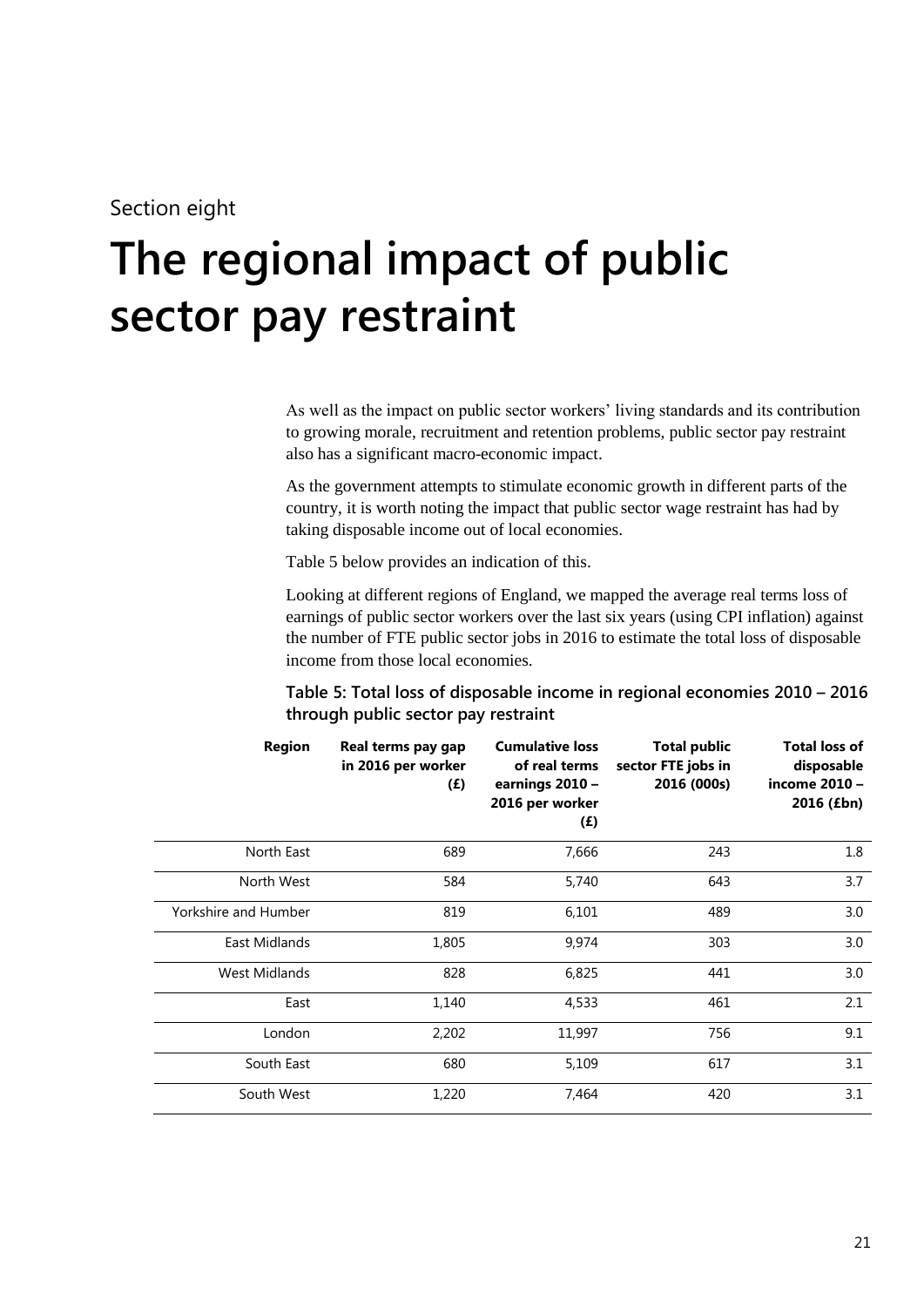## Section eight

# <span id="page-20-0"></span>**8 The regional impact of public sector pay restraint**

As well as the impact on public sector workers' living standards and its contribution to growing morale, recruitment and retention problems, public sector pay restraint also has a significant macro-economic impact.

As the government attempts to stimulate economic growth in different parts of the country, it is worth noting the impact that public sector wage restraint has had by taking disposable income out of local economies.

Table 5 below provides an indication of this.

Looking at different regions of England, we mapped the average real terms loss of earnings of public sector workers over the last six years (using CPI inflation) against the number of FTE public sector jobs in 2016 to estimate the total loss of disposable income from those local economies.

#### **Table 5: Total loss of disposable income in regional economies 2010 – 2016 through public sector pay restraint**

| <b>Region</b>        | Real terms pay gap<br>in 2016 per worker<br>(E) | <b>Cumulative loss</b><br>of real terms<br>earnings 2010 -<br>2016 per worker<br>(E) | <b>Total public</b><br>sector FTE jobs in<br>2016 (000s) | <b>Total loss of</b><br>disposable<br>income 2010 -<br>2016 (£bn) |
|----------------------|-------------------------------------------------|--------------------------------------------------------------------------------------|----------------------------------------------------------|-------------------------------------------------------------------|
| North East           | 689                                             | 7,666                                                                                | 243                                                      | 1.8                                                               |
| North West           | 584                                             | 5,740                                                                                | 643                                                      | 3.7                                                               |
| Yorkshire and Humber | 819                                             | 6,101                                                                                | 489                                                      | 3.0                                                               |
| East Midlands        | 1,805                                           | 9,974                                                                                | 303                                                      | 3.0                                                               |
| West Midlands        | 828                                             | 6,825                                                                                | 441                                                      | 3.0                                                               |
| East                 | 1,140                                           | 4,533                                                                                | 461                                                      | 2.1                                                               |
| London               | 2,202                                           | 11,997                                                                               | 756                                                      | 9.1                                                               |
| South East           | 680                                             | 5,109                                                                                | 617                                                      | 3.1                                                               |
| South West           | 1,220                                           | 7,464                                                                                | 420                                                      | 3.1                                                               |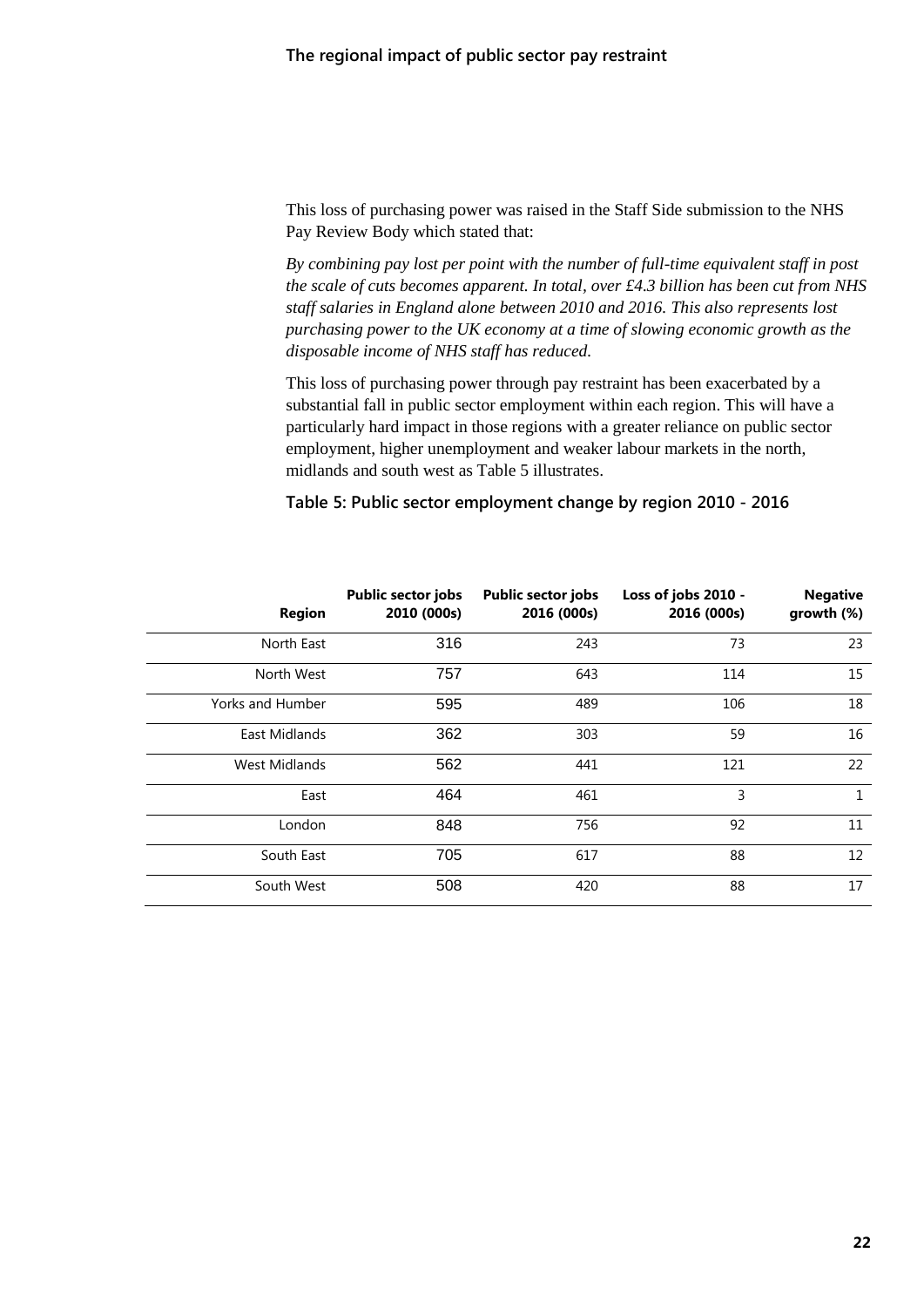This loss of purchasing power was raised in the Staff Side submission to the NHS Pay Review Body which stated that:

*By combining pay lost per point with the number of full-time equivalent staff in post the scale of cuts becomes apparent. In total, over £4.3 billion has been cut from NHS staff salaries in England alone between 2010 and 2016. This also represents lost purchasing power to the UK economy at a time of slowing economic growth as the disposable income of NHS staff has reduced.*

This loss of purchasing power through pay restraint has been exacerbated by a substantial fall in public sector employment within each region. This will have a particularly hard impact in those regions with a greater reliance on public sector employment, higher unemployment and weaker labour markets in the north, midlands and south west as Table 5 illustrates.

#### **Table 5: Public sector employment change by region 2010 - 2016**

| <b>Region</b>    | <b>Public sector jobs</b><br>2010 (000s) | <b>Public sector jobs</b><br>2016 (000s) | Loss of jobs 2010 -<br>2016 (000s) | <b>Negative</b><br>growth (%) |
|------------------|------------------------------------------|------------------------------------------|------------------------------------|-------------------------------|
| North East       | 316                                      | 243                                      | 73                                 | 23                            |
| North West       | 757                                      | 643                                      | 114                                | 15                            |
| Yorks and Humber | 595                                      | 489                                      | 106                                | 18                            |
| East Midlands    | 362                                      | 303                                      | 59                                 | 16                            |
| West Midlands    | 562                                      | 441                                      | 121                                | 22                            |
| East             | 464                                      | 461                                      | 3                                  | 1                             |
| London           | 848                                      | 756                                      | 92                                 | 11                            |
| South East       | 705                                      | 617                                      | 88                                 | 12                            |
| South West       | 508                                      | 420                                      | 88                                 | 17                            |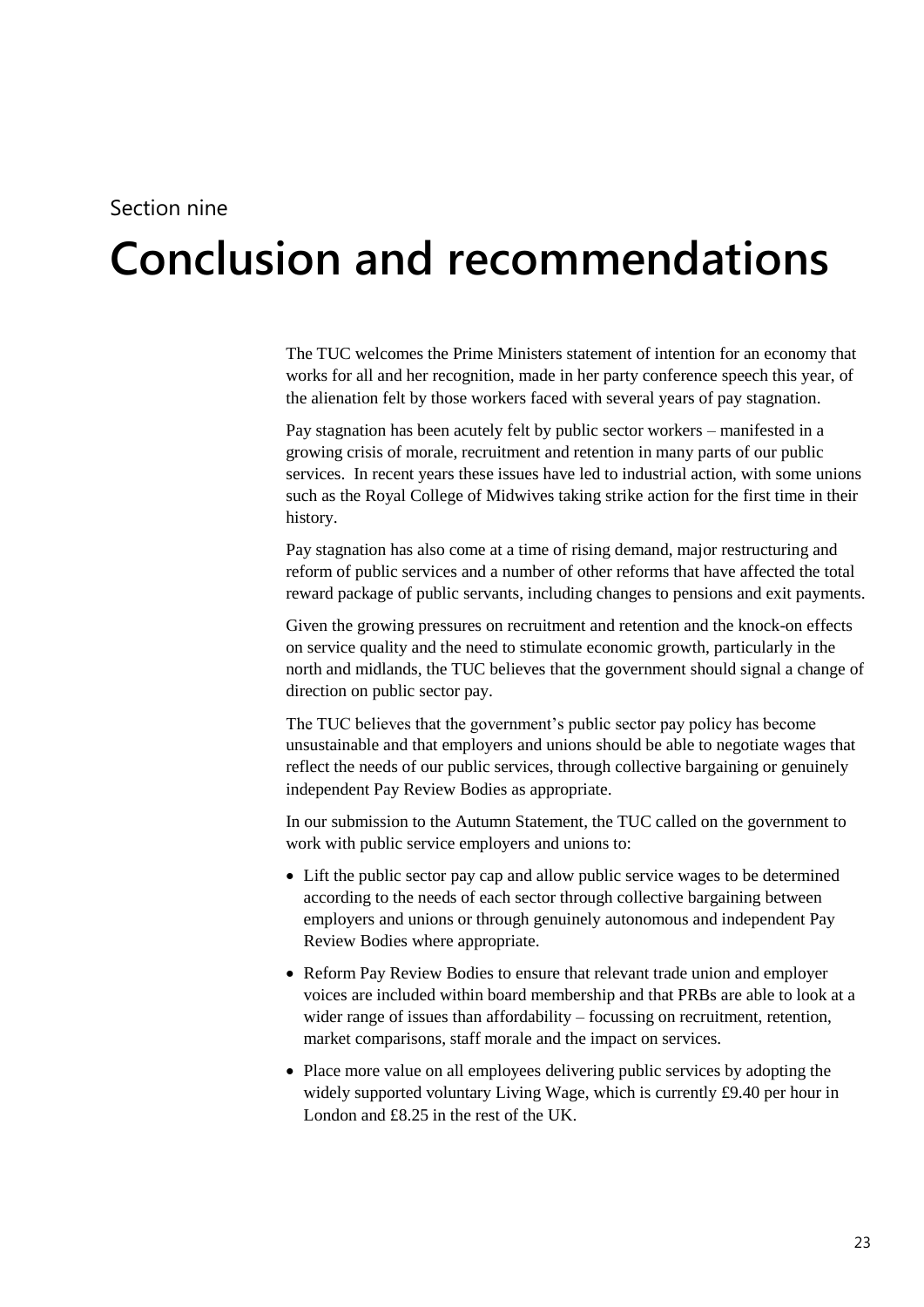### Section nine

# <span id="page-22-0"></span>**9 Conclusion and recommendations**

The TUC welcomes the Prime Ministers statement of intention for an economy that works for all and her recognition, made in her party conference speech this year, of the alienation felt by those workers faced with several years of pay stagnation.

Pay stagnation has been acutely felt by public sector workers – manifested in a growing crisis of morale, recruitment and retention in many parts of our public services. In recent years these issues have led to industrial action, with some unions such as the Royal College of Midwives taking strike action for the first time in their history.

Pay stagnation has also come at a time of rising demand, major restructuring and reform of public services and a number of other reforms that have affected the total reward package of public servants, including changes to pensions and exit payments.

Given the growing pressures on recruitment and retention and the knock-on effects on service quality and the need to stimulate economic growth, particularly in the north and midlands, the TUC believes that the government should signal a change of direction on public sector pay.

The TUC believes that the government's public sector pay policy has become unsustainable and that employers and unions should be able to negotiate wages that reflect the needs of our public services, through collective bargaining or genuinely independent Pay Review Bodies as appropriate.

In our submission to the Autumn Statement, the TUC called on the government to work with public service employers and unions to:

- Lift the public sector pay cap and allow public service wages to be determined according to the needs of each sector through collective bargaining between employers and unions or through genuinely autonomous and independent Pay Review Bodies where appropriate.
- Reform Pay Review Bodies to ensure that relevant trade union and employer voices are included within board membership and that PRBs are able to look at a wider range of issues than affordability – focussing on recruitment, retention, market comparisons, staff morale and the impact on services.
- Place more value on all employees delivering public services by adopting the widely supported voluntary Living Wage, which is currently £9.40 per hour in London and £8.25 in the rest of the UK.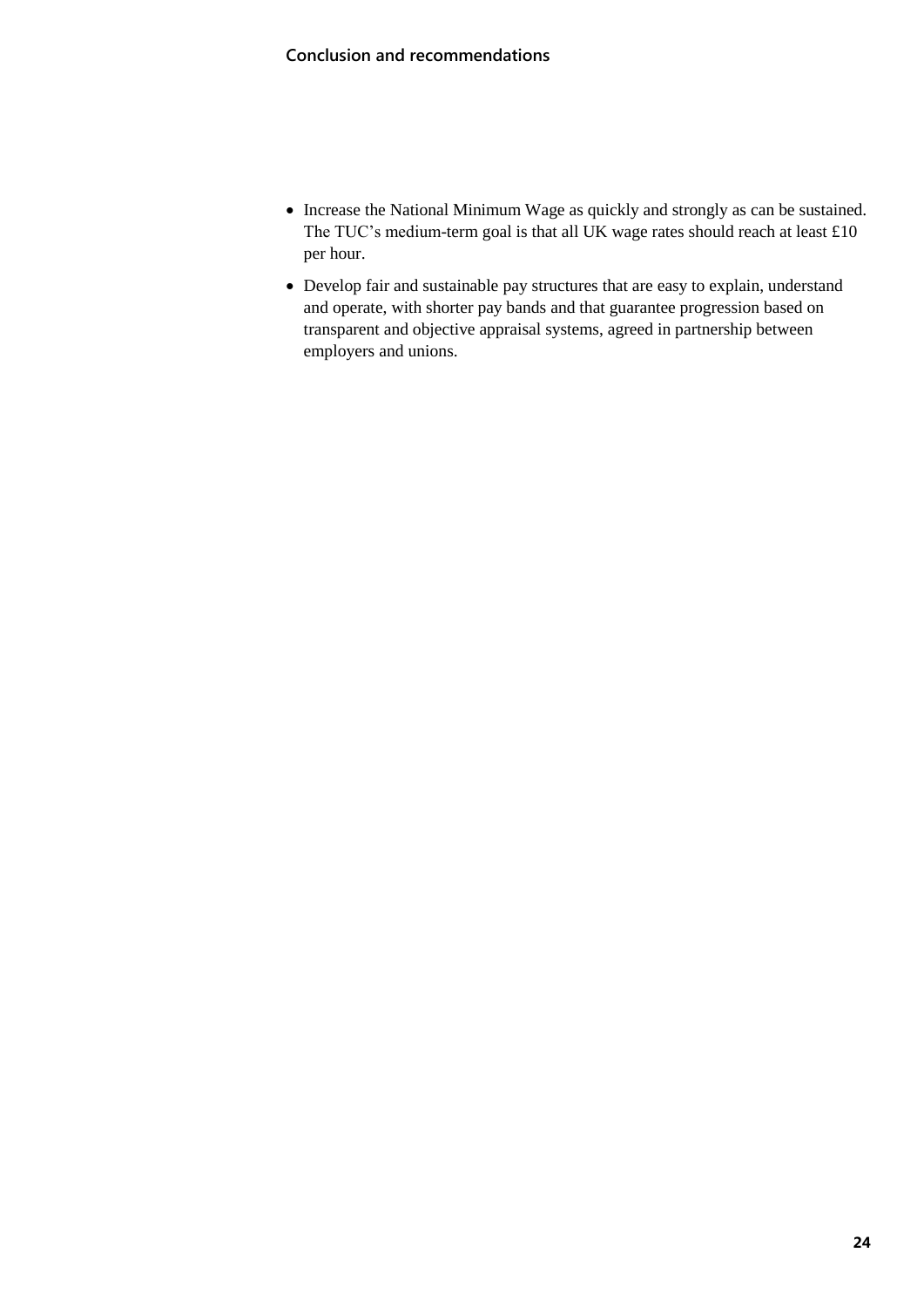- Increase the National Minimum Wage as quickly and strongly as can be sustained. The TUC's medium-term goal is that all UK wage rates should reach at least £10 per hour.
- Develop fair and sustainable pay structures that are easy to explain, understand and operate, with shorter pay bands and that guarantee progression based on transparent and objective appraisal systems, agreed in partnership between employers and unions.